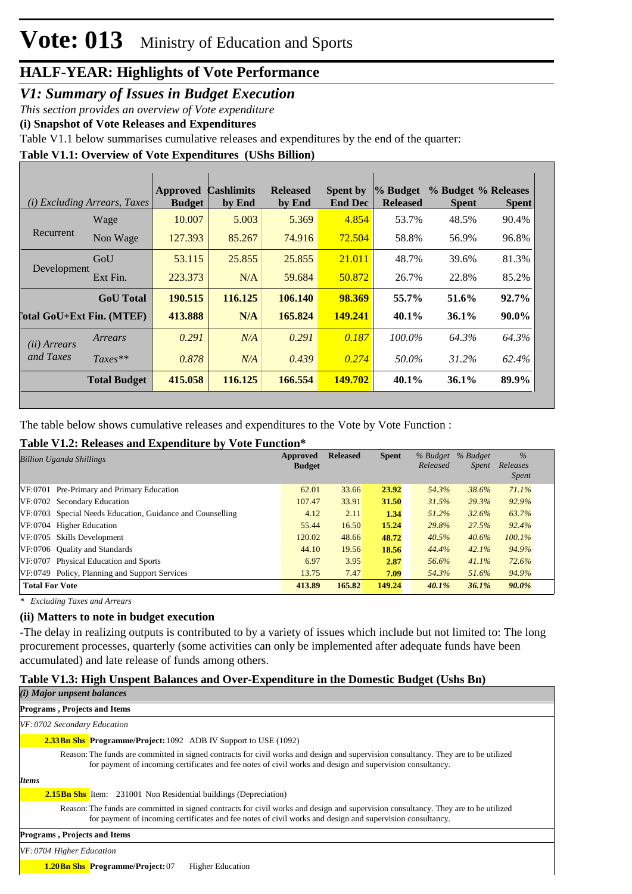#### *V1: Summary of Issues in Budget Execution*

*This section provides an overview of Vote expenditure* 

**(i) Snapshot of Vote Releases and Expenditures**

Table V1.1 below summarises cumulative releases and expenditures by the end of the quarter:

**Table V1.1: Overview of Vote Expenditures (UShs Billion)**

|                                  | (i) Excluding Arrears, Taxes | <b>Approved</b><br><b>Budget</b> | <b>Cashlimits</b><br>by End | <b>Released</b><br>by End | <b>Spent by</b><br><b>End Dec</b> | % Budget<br><b>Released</b> | % Budget % Releases<br><b>Spent</b> | <b>Spent</b> |
|----------------------------------|------------------------------|----------------------------------|-----------------------------|---------------------------|-----------------------------------|-----------------------------|-------------------------------------|--------------|
|                                  | Wage                         | 10.007                           | 5.003                       | 5.369                     | 4.854                             | 53.7%                       | 48.5%                               | 90.4%        |
| Recurrent                        | Non Wage                     | 127.393                          | 85.267                      | 74.916                    | 72.504                            | 58.8%                       | 56.9%                               | 96.8%        |
| Development                      | GoU                          | 53.115                           | 25.855                      | 25.855                    | 21.011                            | 48.7%                       | 39.6%                               | 81.3%        |
|                                  | Ext Fin.                     | 223.373                          | N/A                         | 59.684                    | 50.872                            | 26.7%                       | 22.8%                               | 85.2%        |
|                                  | <b>GoU</b> Total             | 190.515                          | 116.125                     | 106.140                   | 98.369                            | 55.7%                       | 51.6%                               | 92.7%        |
| <b>Total GoU+Ext Fin. (MTEF)</b> |                              | 413.888                          | N/A                         | 165.824                   | 149.241                           | $40.1\%$                    | $36.1\%$                            | $90.0\%$     |
| (ii) Arrears                     | Arrears                      | 0.291                            | N/A                         | 0.291                     | 0.187                             | 100.0%                      | 64.3%                               | 64.3%        |
| and Taxes                        | $Taxes**$                    | 0.878                            | N/A                         | 0.439                     | 0.274                             | 50.0%                       | 31.2%                               | 62.4%        |
|                                  | <b>Total Budget</b>          | 415.058                          | 116.125                     | 166.554                   | 149.702                           | 40.1%                       | $36.1\%$                            | 89.9%        |

The table below shows cumulative releases and expenditures to the Vote by Vote Function :

#### **Table V1.2: Releases and Expenditure by Vote Function\***

| <b>Billion Uganda Shillings</b>                           | Approved<br><b>Budget</b> | <b>Released</b> | <b>Spent</b> | % Budget<br>Released | % Budget<br><i>Spent</i> | $\frac{0}{6}$<br>Releases<br><i>Spent</i> |  |
|-----------------------------------------------------------|---------------------------|-----------------|--------------|----------------------|--------------------------|-------------------------------------------|--|
| VF:0701 Pre-Primary and Primary Education                 | 62.01                     | 33.66           | 23.92        | 54.3%                | 38.6%                    | 71.1%                                     |  |
| VF:0702 Secondary Education                               | 107.47                    | 33.91           | 31.50        | 31.5%                | 29.3%                    | 92.9%                                     |  |
| VF:0703 Special Needs Education, Guidance and Counselling | 4.12                      | 2.11            | 1.34         | 51.2%                | 32.6%                    | 63.7%                                     |  |
| VF:0704 Higher Education                                  | 55.44                     | 16.50           | 15.24        | 29.8%                | 27.5%                    | 92.4%                                     |  |
| VF:0705 Skills Development                                | 120.02                    | 48.66           | 48.72        | 40.5%                | 40.6%                    | $100.1\%$                                 |  |
| VF:0706 Quality and Standards                             | 44.10                     | 19.56           | 18.56        | 44.4%                | 42.1%                    | 94.9%                                     |  |
| VF:0707 Physical Education and Sports                     | 6.97                      | 3.95            | 2.87         | 56.6%                | 41.1%                    | 72.6%                                     |  |
| VF:0749 Policy, Planning and Support Services             | 13.75                     | 7.47            | 7.09         | 54.3%                | 51.6%                    | 94.9%                                     |  |
| <b>Total For Vote</b>                                     | 413.89                    | 165.82          | 149.24       | 40.1%                | 36.1%                    | $90.0\%$                                  |  |

*\* Excluding Taxes and Arrears*

#### **(ii) Matters to note in budget execution**

-The delay in realizing outputs is contributed to by a variety of issues which include but not limited to: The long procurement processes, quarterly (some activities can only be implemented after adequate funds have been accumulated) and late release of funds among others.

#### **Table V1.3: High Unspent Balances and Over-Expenditure in the Domestic Budget (Ushs Bn)**

| ( <i>i</i> ) Major unpsent balances                                                                                                                                                                                                              |
|--------------------------------------------------------------------------------------------------------------------------------------------------------------------------------------------------------------------------------------------------|
| <b>Programs, Projects and Items</b>                                                                                                                                                                                                              |
| VF: 0702 Secondary Education                                                                                                                                                                                                                     |
| <b>2.33Bn Shs. Programme/Project:</b> 1092 ADB IV Support to USE (1092)                                                                                                                                                                          |
| Reason: The funds are committed in signed contracts for civil works and design and supervision consultancy. They are to be utilized<br>for payment of incoming certificates and fee notes of civil works and design and supervision consultancy. |
| <b>Items</b>                                                                                                                                                                                                                                     |
| <b>2.15Bn Shs</b> Item: 231001 Non Residential buildings (Depreciation)                                                                                                                                                                          |
| Reason: The funds are committed in signed contracts for civil works and design and supervision consultancy. They are to be utilized<br>for payment of incoming certificates and fee notes of civil works and design and supervision consultancy. |
| <b>Programs, Projects and Items</b>                                                                                                                                                                                                              |
| $VF: 0704$ Higher Education                                                                                                                                                                                                                      |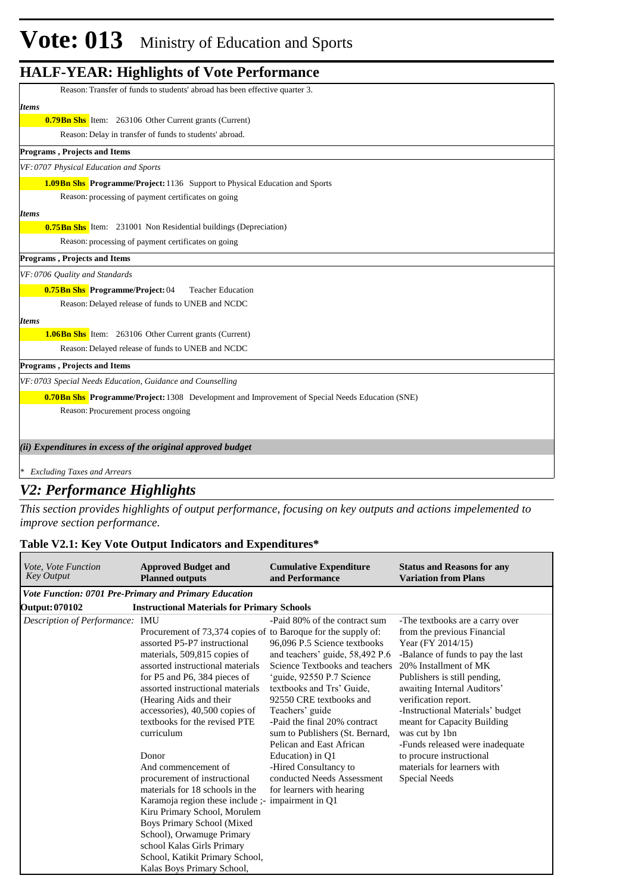| Reason: Transfer of funds to students' abroad has been effective quarter 3.                             |
|---------------------------------------------------------------------------------------------------------|
| <b>Items</b>                                                                                            |
| <b>0.79 Bn Shs</b> Item: 263106 Other Current grants (Current)                                          |
| Reason: Delay in transfer of funds to students' abroad.                                                 |
| <b>Programs, Projects and Items</b>                                                                     |
| VF: 0707 Physical Education and Sports                                                                  |
| <b>1.09 Bn Shs</b> Programme/Project: 1136 Support to Physical Education and Sports                     |
| Reason: processing of payment certificates on going                                                     |
| <b>Items</b>                                                                                            |
| <b>0.75 Bn Shs</b> Item: 231001 Non Residential buildings (Depreciation)                                |
| Reason: processing of payment certificates on going                                                     |
| Programs, Projects and Items                                                                            |
| VF: 0706 Quality and Standards                                                                          |
| 0.75Bn Shs Programme/Project: 04<br><b>Teacher Education</b>                                            |
| Reason: Delayed release of funds to UNEB and NCDC                                                       |
| <b>Items</b>                                                                                            |
| <b>1.06Bn Shs</b> Item: 263106 Other Current grants (Current)                                           |
| Reason: Delayed release of funds to UNEB and NCDC                                                       |
| <b>Programs, Projects and Items</b>                                                                     |
| VF: 0703 Special Needs Education, Guidance and Counselling                                              |
| <b>0.70 Bn Shs Programme/Project:</b> 1308 Development and Improvement of Special Needs Education (SNE) |
| Reason: Procurement process ongoing                                                                     |
|                                                                                                         |
| (ii) Expenditures in excess of the original approved budget                                             |
|                                                                                                         |
| * Excluding Taxes and Arrears                                                                           |

#### *V2: Performance Highlights*

*This section provides highlights of output performance, focusing on key outputs and actions impelemented to improve section performance.*

#### **Table V2.1: Key Vote Output Indicators and Expenditures\***

| Vote, Vote Function<br><b>Key Output</b> | <b>Approved Budget and</b><br><b>Planned outputs</b>                                                                                                                                                                                                                                                                                                  | <b>Cumulative Expenditure</b><br>and Performance                                                                                                                                                                                                                                                              | <b>Status and Reasons for any</b><br><b>Variation from Plans</b>                                                                                                                                                                                                                                                                                                 |  |  |  |  |  |
|------------------------------------------|-------------------------------------------------------------------------------------------------------------------------------------------------------------------------------------------------------------------------------------------------------------------------------------------------------------------------------------------------------|---------------------------------------------------------------------------------------------------------------------------------------------------------------------------------------------------------------------------------------------------------------------------------------------------------------|------------------------------------------------------------------------------------------------------------------------------------------------------------------------------------------------------------------------------------------------------------------------------------------------------------------------------------------------------------------|--|--|--|--|--|
|                                          | Vote Function: 0701 Pre-Primary and Primary Education                                                                                                                                                                                                                                                                                                 |                                                                                                                                                                                                                                                                                                               |                                                                                                                                                                                                                                                                                                                                                                  |  |  |  |  |  |
| <b>Output: 070102</b>                    | <b>Instructional Materials for Primary Schools</b>                                                                                                                                                                                                                                                                                                    |                                                                                                                                                                                                                                                                                                               |                                                                                                                                                                                                                                                                                                                                                                  |  |  |  |  |  |
| Description of Performance: IMU          | Procurement of 73,374 copies of to Baroque for the supply of:<br>assorted P5-P7 instructional<br>materials, 509,815 copies of<br>assorted instructional materials<br>for P5 and P6, 384 pieces of<br>assorted instructional materials<br>(Hearing Aids and their<br>accessories), 40,500 copies of<br>textbooks for the revised PTE<br>curriculum     | -Paid 80% of the contract sum<br>96,096 P.5 Science textbooks<br>and teachers' guide, 58,492 P.6<br>Science Textbooks and teachers<br>'guide, 92550 P.7 Science<br>textbooks and Trs' Guide.<br>92550 CRE textbooks and<br>Teachers' guide<br>-Paid the final 20% contract<br>sum to Publishers (St. Bernard, | -The textbooks are a carry over<br>from the previous Financial<br>Year (FY 2014/15)<br>-Balance of funds to pay the last<br>20% Installment of MK<br>Publishers is still pending,<br>awaiting Internal Auditors'<br>verification report.<br>-Instructional Materials' budget<br>meant for Capacity Building<br>was cut by 1bn<br>-Funds released were inadequate |  |  |  |  |  |
|                                          | Donor<br>And commencement of<br>procurement of instructional<br>materials for 18 schools in the<br>Karamoja region these include ;- impairment in Q1<br>Kiru Primary School, Morulem<br><b>Boys Primary School (Mixed</b><br>School), Orwamuge Primary<br>school Kalas Girls Primary<br>School, Katikit Primary School,<br>Kalas Boys Primary School, | Education) in Q1<br>-Hired Consultancy to<br>conducted Needs Assessment<br>for learners with hearing                                                                                                                                                                                                          | to procure instructional<br>materials for learners with<br>Special Needs                                                                                                                                                                                                                                                                                         |  |  |  |  |  |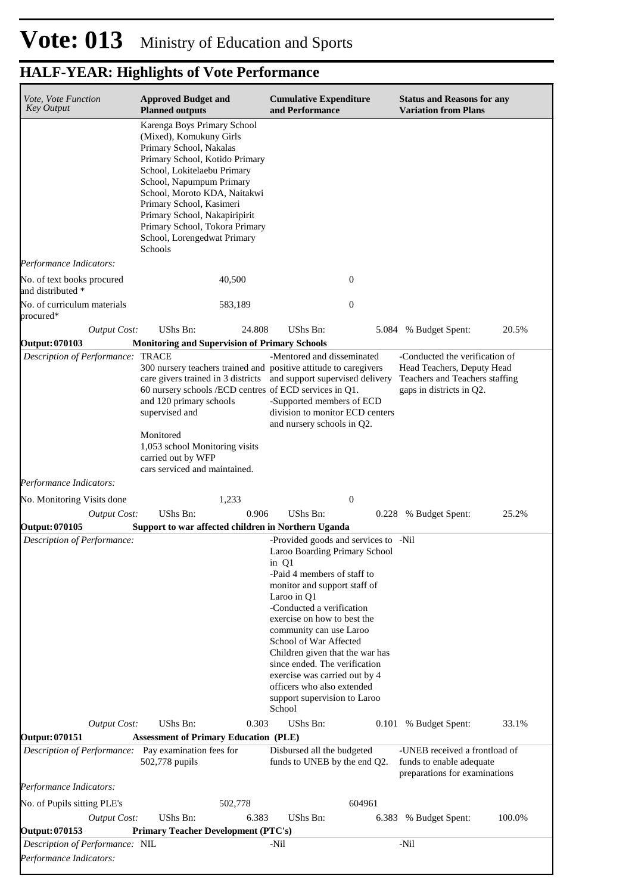| Vote, Vote Function<br><b>Key Output</b>             | <b>Approved Budget and</b><br><b>Planned outputs</b>                                                                                                                                                                                                                                                                                                    | <b>Cumulative Expenditure</b><br>and Performance                                                                                                                                                                                                                                                                                                                                                                                                           | <b>Status and Reasons for any</b><br><b>Variation from Plans</b>                                                           |
|------------------------------------------------------|---------------------------------------------------------------------------------------------------------------------------------------------------------------------------------------------------------------------------------------------------------------------------------------------------------------------------------------------------------|------------------------------------------------------------------------------------------------------------------------------------------------------------------------------------------------------------------------------------------------------------------------------------------------------------------------------------------------------------------------------------------------------------------------------------------------------------|----------------------------------------------------------------------------------------------------------------------------|
|                                                      | Karenga Boys Primary School<br>(Mixed), Komukuny Girls<br>Primary School, Nakalas<br>Primary School, Kotido Primary<br>School, Lokitelaebu Primary<br>School, Napumpum Primary<br>School, Moroto KDA, Naitakwi<br>Primary School, Kasimeri<br>Primary School, Nakapiripirit<br>Primary School, Tokora Primary<br>School, Lorengedwat Primary<br>Schools |                                                                                                                                                                                                                                                                                                                                                                                                                                                            |                                                                                                                            |
| Performance Indicators:                              |                                                                                                                                                                                                                                                                                                                                                         |                                                                                                                                                                                                                                                                                                                                                                                                                                                            |                                                                                                                            |
| No. of text books procured<br>and distributed *      | 40,500                                                                                                                                                                                                                                                                                                                                                  | 0                                                                                                                                                                                                                                                                                                                                                                                                                                                          |                                                                                                                            |
| No. of curriculum materials<br>procured*             | 583,189                                                                                                                                                                                                                                                                                                                                                 | $\boldsymbol{0}$                                                                                                                                                                                                                                                                                                                                                                                                                                           |                                                                                                                            |
| <b>Output Cost:</b>                                  | UShs Bn:<br>24.808                                                                                                                                                                                                                                                                                                                                      | <b>UShs Bn:</b><br>5.084                                                                                                                                                                                                                                                                                                                                                                                                                                   | 20.5%<br>% Budget Spent:                                                                                                   |
| <b>Output: 070103</b>                                | <b>Monitoring and Supervision of Primary Schools</b>                                                                                                                                                                                                                                                                                                    |                                                                                                                                                                                                                                                                                                                                                                                                                                                            |                                                                                                                            |
| Description of Performance: TRACE                    | 300 nursery teachers trained and positive attitude to caregivers<br>60 nursery schools /ECD centres of ECD services in Q1.<br>and 120 primary schools<br>supervised and<br>Monitored<br>1,053 school Monitoring visits<br>carried out by WFP<br>cars serviced and maintained.                                                                           | -Mentored and disseminated<br>care givers trained in 3 districts and support supervised delivery<br>-Supported members of ECD<br>division to monitor ECD centers<br>and nursery schools in Q2.                                                                                                                                                                                                                                                             | -Conducted the verification of<br>Head Teachers, Deputy Head<br>Teachers and Teachers staffing<br>gaps in districts in Q2. |
| Performance Indicators:                              |                                                                                                                                                                                                                                                                                                                                                         |                                                                                                                                                                                                                                                                                                                                                                                                                                                            |                                                                                                                            |
| No. Monitoring Visits done                           | 1,233                                                                                                                                                                                                                                                                                                                                                   | $\boldsymbol{0}$                                                                                                                                                                                                                                                                                                                                                                                                                                           |                                                                                                                            |
| <b>Output Cost:</b>                                  | UShs Bn:<br>0.906                                                                                                                                                                                                                                                                                                                                       | UShs Bn:                                                                                                                                                                                                                                                                                                                                                                                                                                                   | 25.2%<br>0.228 % Budget Spent:                                                                                             |
| Output: 070105<br>Description of Performance:        | Support to war affected children in Northern Uganda                                                                                                                                                                                                                                                                                                     | -Provided goods and services to -Nil<br>Laroo Boarding Primary School<br>in Q1<br>-Paid 4 members of staff to<br>monitor and support staff of<br>Laroo in Q1<br>-Conducted a verification<br>exercise on how to best the<br>community can use Laroo<br>School of War Affected<br>Children given that the war has<br>since ended. The verification<br>exercise was carried out by 4<br>officers who also extended<br>support supervision to Laroo<br>School |                                                                                                                            |
| <b>Output Cost:</b><br><b>Output: 070151</b>         | UShs Bn:<br>0.303<br><b>Assessment of Primary Education (PLE)</b>                                                                                                                                                                                                                                                                                       | UShs Bn:                                                                                                                                                                                                                                                                                                                                                                                                                                                   | 33.1%<br>0.101 % Budget Spent:                                                                                             |
| Description of Performance: Pay examination fees for | 502,778 pupils                                                                                                                                                                                                                                                                                                                                          | Disbursed all the budgeted<br>funds to UNEB by the end Q2.                                                                                                                                                                                                                                                                                                                                                                                                 | -UNEB received a frontload of<br>funds to enable adequate<br>preparations for examinations                                 |
| Performance Indicators:                              |                                                                                                                                                                                                                                                                                                                                                         |                                                                                                                                                                                                                                                                                                                                                                                                                                                            |                                                                                                                            |
| No. of Pupils sitting PLE's                          | 502,778                                                                                                                                                                                                                                                                                                                                                 | 604961                                                                                                                                                                                                                                                                                                                                                                                                                                                     |                                                                                                                            |
| <b>Output Cost:</b><br><b>Output: 070153</b>         | UShs Bn:<br>6.383<br><b>Primary Teacher Development (PTC's)</b>                                                                                                                                                                                                                                                                                         | UShs Bn:                                                                                                                                                                                                                                                                                                                                                                                                                                                   | 100.0%<br>6.383 % Budget Spent:                                                                                            |
| Description of Performance: NIL                      |                                                                                                                                                                                                                                                                                                                                                         | -Nil                                                                                                                                                                                                                                                                                                                                                                                                                                                       | -Nil                                                                                                                       |
| Performance Indicators:                              |                                                                                                                                                                                                                                                                                                                                                         |                                                                                                                                                                                                                                                                                                                                                                                                                                                            |                                                                                                                            |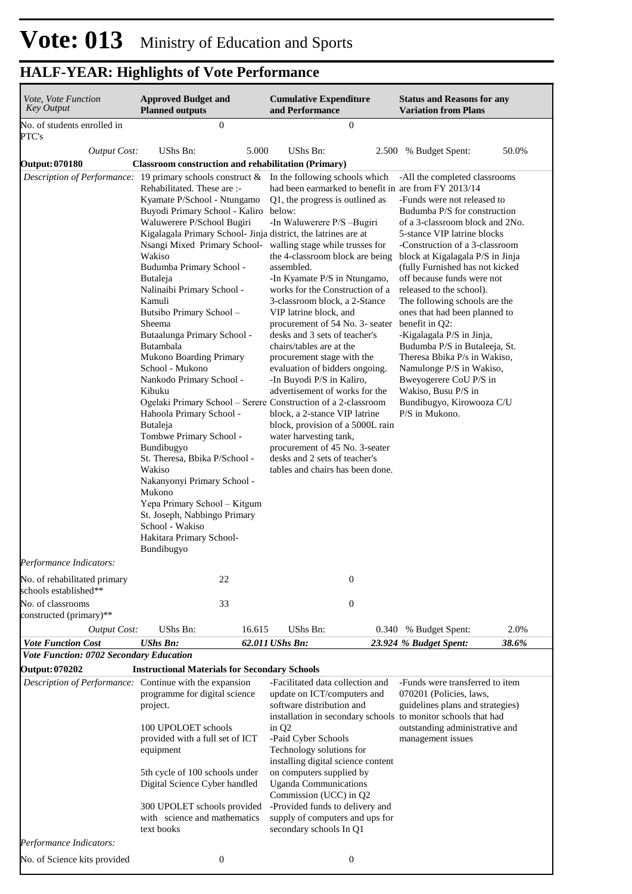| Vote, Vote Function<br>Key Output                       | <b>Approved Budget and</b><br><b>Planned outputs</b>                                                                                                                                                                                                                                                                                                                                                                                                                                                                                                                                                                                                                                                                                                                                                                                                                                                          | <b>Cumulative Expenditure</b><br>and Performance                                                                                                                                                                                                                                                                                                                                                                                                                                                                                                                                                                                                                                                                                                                                                                                                       | <b>Status and Reasons for any</b><br><b>Variation from Plans</b>                                                                                                                                                                                                                                                                                                                                                                                                                                                                                                                                                                                  |  |  |
|---------------------------------------------------------|---------------------------------------------------------------------------------------------------------------------------------------------------------------------------------------------------------------------------------------------------------------------------------------------------------------------------------------------------------------------------------------------------------------------------------------------------------------------------------------------------------------------------------------------------------------------------------------------------------------------------------------------------------------------------------------------------------------------------------------------------------------------------------------------------------------------------------------------------------------------------------------------------------------|--------------------------------------------------------------------------------------------------------------------------------------------------------------------------------------------------------------------------------------------------------------------------------------------------------------------------------------------------------------------------------------------------------------------------------------------------------------------------------------------------------------------------------------------------------------------------------------------------------------------------------------------------------------------------------------------------------------------------------------------------------------------------------------------------------------------------------------------------------|---------------------------------------------------------------------------------------------------------------------------------------------------------------------------------------------------------------------------------------------------------------------------------------------------------------------------------------------------------------------------------------------------------------------------------------------------------------------------------------------------------------------------------------------------------------------------------------------------------------------------------------------------|--|--|
| No. of students enrolled in<br>PTC's                    | $\mathbf{0}$                                                                                                                                                                                                                                                                                                                                                                                                                                                                                                                                                                                                                                                                                                                                                                                                                                                                                                  | $\boldsymbol{0}$                                                                                                                                                                                                                                                                                                                                                                                                                                                                                                                                                                                                                                                                                                                                                                                                                                       |                                                                                                                                                                                                                                                                                                                                                                                                                                                                                                                                                                                                                                                   |  |  |
| <b>Output Cost:</b>                                     | UShs Bn:<br>5.000                                                                                                                                                                                                                                                                                                                                                                                                                                                                                                                                                                                                                                                                                                                                                                                                                                                                                             | UShs Bn:                                                                                                                                                                                                                                                                                                                                                                                                                                                                                                                                                                                                                                                                                                                                                                                                                                               | 50.0%<br>2.500 % Budget Spent:                                                                                                                                                                                                                                                                                                                                                                                                                                                                                                                                                                                                                    |  |  |
| <b>Output: 070180</b>                                   | <b>Classroom construction and rehabilitation (Primary)</b>                                                                                                                                                                                                                                                                                                                                                                                                                                                                                                                                                                                                                                                                                                                                                                                                                                                    |                                                                                                                                                                                                                                                                                                                                                                                                                                                                                                                                                                                                                                                                                                                                                                                                                                                        |                                                                                                                                                                                                                                                                                                                                                                                                                                                                                                                                                                                                                                                   |  |  |
|                                                         | Rehabilitated. These are :-<br>Kyamate P/School - Ntungamo<br>Buyodi Primary School - Kaliro<br>Waluwerere P/School Bugiri<br>Kigalagala Primary School- Jinja district, the latrines are at<br>Nsangi Mixed Primary School- walling stage while trusses for<br>Wakiso<br>Budumba Primary School -<br><b>Butaleja</b><br>Nalinaibi Primary School -<br>Kamuli<br>Butsibo Primary School -<br>Sheema<br>Butaalunga Primary School -<br>Butambala<br><b>Mukono Boarding Primary</b><br>School - Mukono<br>Nankodo Primary School -<br>Kibuku<br>Ogelaki Primary School – Serere Construction of a 2-classroom<br>Hahoola Primary School -<br>Butaleja<br>Tombwe Primary School -<br>Bundibugyo<br>St. Theresa, Bbika P/School -<br>Wakiso<br>Nakanyonyi Primary School -<br>Mukono<br>Yepa Primary School - Kitgum<br>St. Joseph, Nabbingo Primary<br>School - Wakiso<br>Hakitara Primary School-<br>Bundibugyo | <i>Description of Performance:</i> 19 primary schools construct & In the following schools which<br>had been earmarked to benefit in are from FY 2013/14<br>Q1, the progress is outlined as<br>below:<br>-In Waluwerere P/S-Bugiri<br>the 4-classroom block are being<br>assembled.<br>-In Kyamate P/S in Ntungamo,<br>works for the Construction of a<br>3-classroom block, a 2-Stance<br>VIP latrine block, and<br>procurement of 54 No. 3- seater<br>desks and 3 sets of teacher's<br>chairs/tables are at the<br>procurement stage with the<br>evaluation of bidders ongoing.<br>-In Buyodi P/S in Kaliro,<br>advertisement of works for the<br>block, a 2-stance VIP latrine<br>block, provision of a 5000L rain<br>water harvesting tank,<br>procurement of 45 No. 3-seater<br>desks and 2 sets of teacher's<br>tables and chairs has been done. | -All the completed classrooms<br>-Funds were not released to<br>Budumba P/S for construction<br>of a 3-classroom block and 2No.<br>5-stance VIP latrine blocks<br>-Construction of a 3-classroom<br>block at Kigalagala P/S in Jinja<br>(fully Furnished has not kicked<br>off because funds were not<br>released to the school).<br>The following schools are the<br>ones that had been planned to<br>benefit in Q2:<br>-Kigalagala P/S in Jinja,<br>Budumba P/S in Butaleeja, St.<br>Theresa Bbika P/s in Wakiso,<br>Namulonge P/S in Wakiso,<br>Bweyogerere CoU P/S in<br>Wakiso, Busu P/S in<br>Bundibugyo, Kirowooza C/U<br>$P/S$ in Mukono. |  |  |
| Performance Indicators:<br>No. of rehabilitated primary | 22                                                                                                                                                                                                                                                                                                                                                                                                                                                                                                                                                                                                                                                                                                                                                                                                                                                                                                            | $\boldsymbol{0}$                                                                                                                                                                                                                                                                                                                                                                                                                                                                                                                                                                                                                                                                                                                                                                                                                                       |                                                                                                                                                                                                                                                                                                                                                                                                                                                                                                                                                                                                                                                   |  |  |
| schools established**<br>No. of classrooms              | 33                                                                                                                                                                                                                                                                                                                                                                                                                                                                                                                                                                                                                                                                                                                                                                                                                                                                                                            | $\boldsymbol{0}$                                                                                                                                                                                                                                                                                                                                                                                                                                                                                                                                                                                                                                                                                                                                                                                                                                       |                                                                                                                                                                                                                                                                                                                                                                                                                                                                                                                                                                                                                                                   |  |  |
| constructed (primary)**                                 |                                                                                                                                                                                                                                                                                                                                                                                                                                                                                                                                                                                                                                                                                                                                                                                                                                                                                                               |                                                                                                                                                                                                                                                                                                                                                                                                                                                                                                                                                                                                                                                                                                                                                                                                                                                        |                                                                                                                                                                                                                                                                                                                                                                                                                                                                                                                                                                                                                                                   |  |  |
| <b>Output Cost:</b>                                     | UShs Bn:<br>16.615                                                                                                                                                                                                                                                                                                                                                                                                                                                                                                                                                                                                                                                                                                                                                                                                                                                                                            | UShs Bn:                                                                                                                                                                                                                                                                                                                                                                                                                                                                                                                                                                                                                                                                                                                                                                                                                                               | 2.0%<br>0.340 % Budget Spent:                                                                                                                                                                                                                                                                                                                                                                                                                                                                                                                                                                                                                     |  |  |
| <b>Vote Function Cost</b>                               | <b>UShs Bn:</b>                                                                                                                                                                                                                                                                                                                                                                                                                                                                                                                                                                                                                                                                                                                                                                                                                                                                                               | 62.011 UShs Bn:                                                                                                                                                                                                                                                                                                                                                                                                                                                                                                                                                                                                                                                                                                                                                                                                                                        | 38.6%<br>23.924 % Budget Spent:                                                                                                                                                                                                                                                                                                                                                                                                                                                                                                                                                                                                                   |  |  |
| Vote Function: 0702 Secondary Education                 |                                                                                                                                                                                                                                                                                                                                                                                                                                                                                                                                                                                                                                                                                                                                                                                                                                                                                                               |                                                                                                                                                                                                                                                                                                                                                                                                                                                                                                                                                                                                                                                                                                                                                                                                                                                        |                                                                                                                                                                                                                                                                                                                                                                                                                                                                                                                                                                                                                                                   |  |  |
| <b>Output: 070202</b>                                   | <b>Instructional Materials for Secondary Schools</b>                                                                                                                                                                                                                                                                                                                                                                                                                                                                                                                                                                                                                                                                                                                                                                                                                                                          |                                                                                                                                                                                                                                                                                                                                                                                                                                                                                                                                                                                                                                                                                                                                                                                                                                                        |                                                                                                                                                                                                                                                                                                                                                                                                                                                                                                                                                                                                                                                   |  |  |
| Description of Performance: Continue with the expansion | programme for digital science<br>project.<br>100 UPOLOET schools<br>provided with a full set of ICT<br>equipment<br>5th cycle of 100 schools under<br>Digital Science Cyber handled<br>300 UPOLET schools provided<br>with science and mathematics<br>text books                                                                                                                                                                                                                                                                                                                                                                                                                                                                                                                                                                                                                                              | -Facilitated data collection and<br>update on ICT/computers and<br>software distribution and<br>installation in secondary schools to monitor schools that had<br>in Q <sub>2</sub><br>-Paid Cyber Schools<br>Technology solutions for<br>installing digital science content<br>on computers supplied by<br><b>Uganda Communications</b><br>Commission (UCC) in Q2<br>-Provided funds to delivery and<br>supply of computers and ups for<br>secondary schools In Q1                                                                                                                                                                                                                                                                                                                                                                                     | -Funds were transferred to item<br>070201 (Policies, laws,<br>guidelines plans and strategies)<br>outstanding administrative and<br>management issues                                                                                                                                                                                                                                                                                                                                                                                                                                                                                             |  |  |
| Performance Indicators:                                 |                                                                                                                                                                                                                                                                                                                                                                                                                                                                                                                                                                                                                                                                                                                                                                                                                                                                                                               |                                                                                                                                                                                                                                                                                                                                                                                                                                                                                                                                                                                                                                                                                                                                                                                                                                                        |                                                                                                                                                                                                                                                                                                                                                                                                                                                                                                                                                                                                                                                   |  |  |
| No. of Science kits provided                            | $\boldsymbol{0}$                                                                                                                                                                                                                                                                                                                                                                                                                                                                                                                                                                                                                                                                                                                                                                                                                                                                                              | $\boldsymbol{0}$                                                                                                                                                                                                                                                                                                                                                                                                                                                                                                                                                                                                                                                                                                                                                                                                                                       |                                                                                                                                                                                                                                                                                                                                                                                                                                                                                                                                                                                                                                                   |  |  |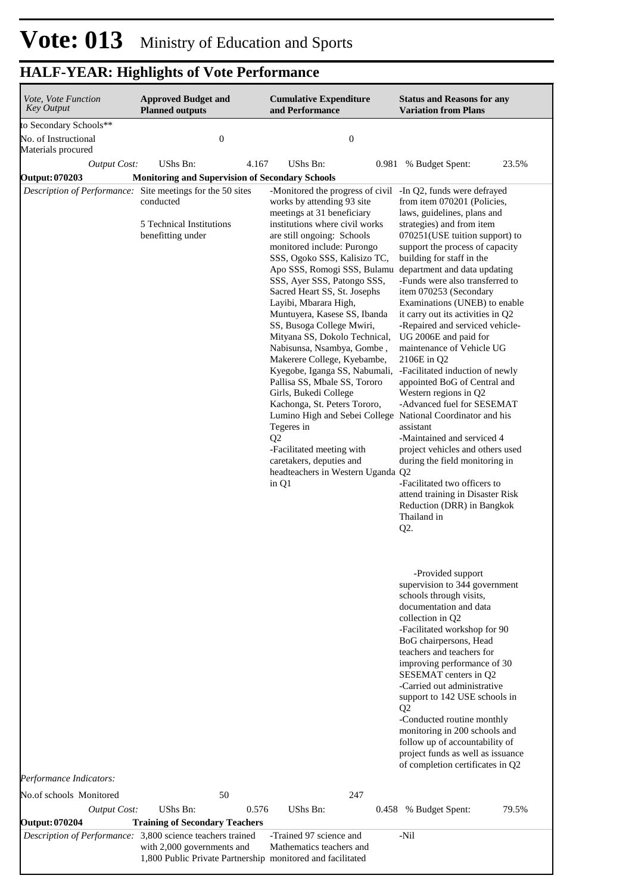| Vote, Vote Function<br><b>Key Output</b> | <b>Approved Budget and</b><br><b>Planned outputs</b>                                                                                                   |       | <b>Cumulative Expenditure</b><br>and Performance                                                                                                                                                                                                                                                                                                                                                                                                                                                                                                                                                                                                                                                                                                                                                                                                                        | <b>Status and Reasons for any</b><br><b>Variation from Plans</b>                                                                                                                                                                                                                                                                                                                                                                                                                                                                                                                                                                                                                                                                                                                                                                        |
|------------------------------------------|--------------------------------------------------------------------------------------------------------------------------------------------------------|-------|-------------------------------------------------------------------------------------------------------------------------------------------------------------------------------------------------------------------------------------------------------------------------------------------------------------------------------------------------------------------------------------------------------------------------------------------------------------------------------------------------------------------------------------------------------------------------------------------------------------------------------------------------------------------------------------------------------------------------------------------------------------------------------------------------------------------------------------------------------------------------|-----------------------------------------------------------------------------------------------------------------------------------------------------------------------------------------------------------------------------------------------------------------------------------------------------------------------------------------------------------------------------------------------------------------------------------------------------------------------------------------------------------------------------------------------------------------------------------------------------------------------------------------------------------------------------------------------------------------------------------------------------------------------------------------------------------------------------------------|
| to Secondary Schools**                   |                                                                                                                                                        |       |                                                                                                                                                                                                                                                                                                                                                                                                                                                                                                                                                                                                                                                                                                                                                                                                                                                                         |                                                                                                                                                                                                                                                                                                                                                                                                                                                                                                                                                                                                                                                                                                                                                                                                                                         |
| No. of Instructional                     | $\boldsymbol{0}$                                                                                                                                       |       | $\boldsymbol{0}$                                                                                                                                                                                                                                                                                                                                                                                                                                                                                                                                                                                                                                                                                                                                                                                                                                                        |                                                                                                                                                                                                                                                                                                                                                                                                                                                                                                                                                                                                                                                                                                                                                                                                                                         |
| Materials procured                       |                                                                                                                                                        |       |                                                                                                                                                                                                                                                                                                                                                                                                                                                                                                                                                                                                                                                                                                                                                                                                                                                                         |                                                                                                                                                                                                                                                                                                                                                                                                                                                                                                                                                                                                                                                                                                                                                                                                                                         |
| <b>Output Cost:</b>                      | UShs Bn:                                                                                                                                               | 4.167 | UShs Bn:<br>0.981                                                                                                                                                                                                                                                                                                                                                                                                                                                                                                                                                                                                                                                                                                                                                                                                                                                       | 23.5%<br>% Budget Spent:                                                                                                                                                                                                                                                                                                                                                                                                                                                                                                                                                                                                                                                                                                                                                                                                                |
| <b>Output: 070203</b>                    | <b>Monitoring and Supervision of Secondary Schools</b>                                                                                                 |       |                                                                                                                                                                                                                                                                                                                                                                                                                                                                                                                                                                                                                                                                                                                                                                                                                                                                         |                                                                                                                                                                                                                                                                                                                                                                                                                                                                                                                                                                                                                                                                                                                                                                                                                                         |
|                                          | Description of Performance: Site meetings for the 50 sites<br>conducted<br>5 Technical Institutions<br>benefitting under                               |       | -Monitored the progress of civil -In Q2, funds were defrayed<br>works by attending 93 site<br>meetings at 31 beneficiary<br>institutions where civil works<br>are still ongoing: Schools<br>monitored include: Purongo<br>SSS, Ogoko SSS, Kalisizo TC,<br>Apo SSS, Romogi SSS, Bulamu<br>SSS, Ayer SSS, Patongo SSS,<br>Sacred Heart SS, St. Josephs<br>Layibi, Mbarara High,<br>Muntuyera, Kasese SS, Ibanda<br>SS, Busoga College Mwiri,<br>Mityana SS, Dokolo Technical,<br>Nabisunsa, Nsambya, Gombe,<br>Makerere College, Kyebambe,<br>Kyegobe, Iganga SS, Nabumali,<br>Pallisa SS, Mbale SS, Tororo<br>Girls, Bukedi College<br>Kachonga, St. Peters Tororo,<br>Lumino High and Sebei College National Coordinator and his<br>Tegeres in<br>Q <sub>2</sub><br>-Facilitated meeting with<br>caretakers, deputies and<br>headteachers in Western Uganda Q2<br>in Q1 | from item 070201 (Policies,<br>laws, guidelines, plans and<br>strategies) and from item<br>070251(USE tuition support) to<br>support the process of capacity<br>building for staff in the<br>department and data updating<br>-Funds were also transferred to<br>item 070253 (Secondary<br>Examinations (UNEB) to enable<br>it carry out its activities in Q2<br>-Repaired and serviced vehicle-<br>UG 2006E and paid for<br>maintenance of Vehicle UG<br>2106E in Q2<br>-Facilitated induction of newly<br>appointed BoG of Central and<br>Western regions in Q2<br>-Advanced fuel for SESEMAT<br>assistant<br>-Maintained and serviced 4<br>project vehicles and others used<br>during the field monitoring in<br>-Facilitated two officers to<br>attend training in Disaster Risk<br>Reduction (DRR) in Bangkok<br>Thailand in<br>Q2. |
|                                          |                                                                                                                                                        |       |                                                                                                                                                                                                                                                                                                                                                                                                                                                                                                                                                                                                                                                                                                                                                                                                                                                                         | -Provided support<br>supervision to 344 government<br>schools through visits,<br>documentation and data<br>collection in Q2<br>-Facilitated workshop for 90<br>BoG chairpersons, Head<br>teachers and teachers for<br>improving performance of 30<br>SESEMAT centers in Q2<br>-Carried out administrative<br>support to 142 USE schools in<br>Q <sub>2</sub><br>-Conducted routine monthly<br>monitoring in 200 schools and<br>follow up of accountability of<br>project funds as well as issuance<br>of completion certificates in Q2                                                                                                                                                                                                                                                                                                  |
| Performance Indicators:                  |                                                                                                                                                        |       |                                                                                                                                                                                                                                                                                                                                                                                                                                                                                                                                                                                                                                                                                                                                                                                                                                                                         |                                                                                                                                                                                                                                                                                                                                                                                                                                                                                                                                                                                                                                                                                                                                                                                                                                         |
| No.of schools Monitored                  | 50                                                                                                                                                     |       | 247                                                                                                                                                                                                                                                                                                                                                                                                                                                                                                                                                                                                                                                                                                                                                                                                                                                                     |                                                                                                                                                                                                                                                                                                                                                                                                                                                                                                                                                                                                                                                                                                                                                                                                                                         |
| <b>Output Cost:</b>                      | <b>UShs Bn:</b>                                                                                                                                        | 0.576 | UShs Bn:                                                                                                                                                                                                                                                                                                                                                                                                                                                                                                                                                                                                                                                                                                                                                                                                                                                                | 79.5%<br>0.458 % Budget Spent:                                                                                                                                                                                                                                                                                                                                                                                                                                                                                                                                                                                                                                                                                                                                                                                                          |
| <b>Output: 070204</b>                    | <b>Training of Secondary Teachers</b>                                                                                                                  |       |                                                                                                                                                                                                                                                                                                                                                                                                                                                                                                                                                                                                                                                                                                                                                                                                                                                                         |                                                                                                                                                                                                                                                                                                                                                                                                                                                                                                                                                                                                                                                                                                                                                                                                                                         |
|                                          | Description of Performance: 3,800 science teachers trained<br>with 2,000 governments and<br>1,800 Public Private Partnership monitored and facilitated |       | -Trained 97 science and<br>Mathematics teachers and                                                                                                                                                                                                                                                                                                                                                                                                                                                                                                                                                                                                                                                                                                                                                                                                                     | -Nil                                                                                                                                                                                                                                                                                                                                                                                                                                                                                                                                                                                                                                                                                                                                                                                                                                    |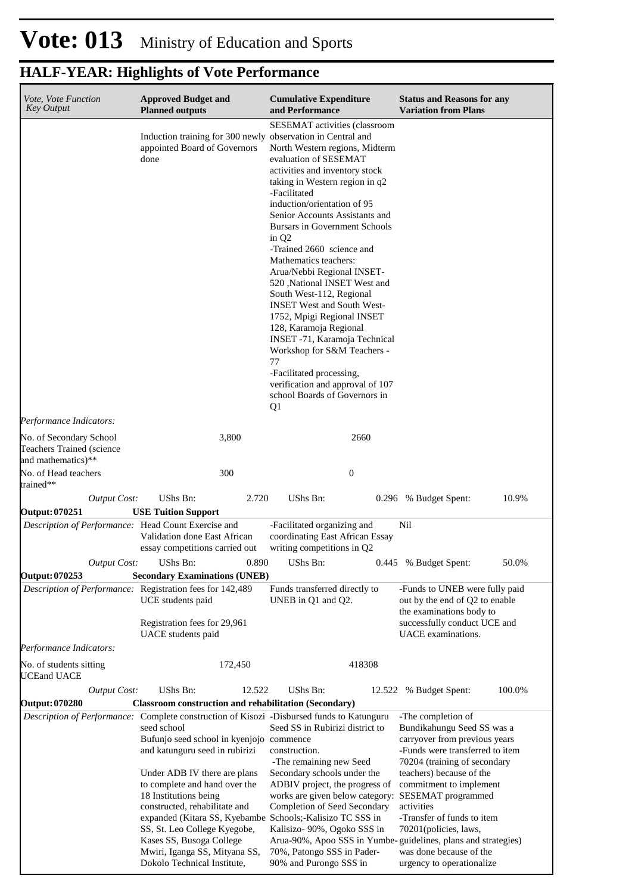| Induction training for 300 newly observation in Central and                                                                                                              | SESEMAT activities (classroom                                                                                                                                                                                                                                                                                                                                                                                                                                                                                                                                                                                                                                                                 |                                                                                                                                                                                                                                                                                                                                                 |
|--------------------------------------------------------------------------------------------------------------------------------------------------------------------------|-----------------------------------------------------------------------------------------------------------------------------------------------------------------------------------------------------------------------------------------------------------------------------------------------------------------------------------------------------------------------------------------------------------------------------------------------------------------------------------------------------------------------------------------------------------------------------------------------------------------------------------------------------------------------------------------------|-------------------------------------------------------------------------------------------------------------------------------------------------------------------------------------------------------------------------------------------------------------------------------------------------------------------------------------------------|
| appointed Board of Governors<br>done                                                                                                                                     | North Western regions, Midterm<br>evaluation of SESEMAT<br>activities and inventory stock<br>taking in Western region in q2<br>-Facilitated<br>induction/orientation of 95<br>Senior Accounts Assistants and<br><b>Bursars in Government Schools</b><br>in Q <sub>2</sub><br>-Trained 2660 science and<br>Mathematics teachers:<br>Arua/Nebbi Regional INSET-<br>520 ,National INSET West and<br>South West-112, Regional<br><b>INSET West and South West-</b><br>1752, Mpigi Regional INSET<br>128, Karamoja Regional<br>INSET -71, Karamoja Technical<br>Workshop for S&M Teachers -<br>77<br>-Facilitated processing,<br>verification and approval of 107<br>school Boards of Governors in |                                                                                                                                                                                                                                                                                                                                                 |
|                                                                                                                                                                          |                                                                                                                                                                                                                                                                                                                                                                                                                                                                                                                                                                                                                                                                                               |                                                                                                                                                                                                                                                                                                                                                 |
| 3,800                                                                                                                                                                    | 2660                                                                                                                                                                                                                                                                                                                                                                                                                                                                                                                                                                                                                                                                                          |                                                                                                                                                                                                                                                                                                                                                 |
| 300                                                                                                                                                                      | $\mathbf{0}$                                                                                                                                                                                                                                                                                                                                                                                                                                                                                                                                                                                                                                                                                  |                                                                                                                                                                                                                                                                                                                                                 |
| UShs Bn:                                                                                                                                                                 | UShs Bn:                                                                                                                                                                                                                                                                                                                                                                                                                                                                                                                                                                                                                                                                                      | 10.9%<br>0.296 % Budget Spent:                                                                                                                                                                                                                                                                                                                  |
|                                                                                                                                                                          |                                                                                                                                                                                                                                                                                                                                                                                                                                                                                                                                                                                                                                                                                               |                                                                                                                                                                                                                                                                                                                                                 |
| Validation done East African<br>essay competitions carried out                                                                                                           | coordinating East African Essay<br>writing competitions in Q2                                                                                                                                                                                                                                                                                                                                                                                                                                                                                                                                                                                                                                 | Nil                                                                                                                                                                                                                                                                                                                                             |
|                                                                                                                                                                          |                                                                                                                                                                                                                                                                                                                                                                                                                                                                                                                                                                                                                                                                                               | 0.445 % Budget Spent:<br>50.0%                                                                                                                                                                                                                                                                                                                  |
|                                                                                                                                                                          |                                                                                                                                                                                                                                                                                                                                                                                                                                                                                                                                                                                                                                                                                               |                                                                                                                                                                                                                                                                                                                                                 |
| UCE students paid<br>Registration fees for 29,961<br>UACE students paid                                                                                                  | Funds transferred directly to<br>UNEB in Q1 and Q2.                                                                                                                                                                                                                                                                                                                                                                                                                                                                                                                                                                                                                                           | -Funds to UNEB were fully paid<br>out by the end of Q2 to enable<br>the examinations body to<br>successfully conduct UCE and<br>UACE examinations.                                                                                                                                                                                              |
|                                                                                                                                                                          |                                                                                                                                                                                                                                                                                                                                                                                                                                                                                                                                                                                                                                                                                               |                                                                                                                                                                                                                                                                                                                                                 |
|                                                                                                                                                                          |                                                                                                                                                                                                                                                                                                                                                                                                                                                                                                                                                                                                                                                                                               |                                                                                                                                                                                                                                                                                                                                                 |
| UShs Bn:                                                                                                                                                                 | UShs Bn:                                                                                                                                                                                                                                                                                                                                                                                                                                                                                                                                                                                                                                                                                      | 100.0%<br>12.522 % Budget Spent:                                                                                                                                                                                                                                                                                                                |
|                                                                                                                                                                          |                                                                                                                                                                                                                                                                                                                                                                                                                                                                                                                                                                                                                                                                                               |                                                                                                                                                                                                                                                                                                                                                 |
| seed school<br>and katunguru seed in rubirizi<br>Under ADB IV there are plans<br>to complete and hand over the<br>18 Institutions being<br>constructed, rehabilitate and | Seed SS in Rubirizi district to<br>construction.<br>-The remaining new Seed<br>Secondary schools under the<br>ADBIV project, the progress of<br>works are given below category:<br>Completion of Seed Secondary                                                                                                                                                                                                                                                                                                                                                                                                                                                                               | -The completion of<br>Bundikahungu Seed SS was a<br>carryover from previous years<br>-Funds were transferred to item<br>70204 (training of secondary<br>teachers) because of the<br>commitment to implement<br>SESEMAT programmed<br>activities<br>-Transfer of funds to item                                                                   |
|                                                                                                                                                                          | <b>Output Cost:</b><br><b>USE Tuition Support</b><br>Description of Performance: Head Count Exercise and<br><i>Output Cost:</i> UShs Bn:<br>Description of Performance: Registration fees for 142,489<br>172,450<br><b>Output Cost:</b>                                                                                                                                                                                                                                                                                                                                                                                                                                                       | Q <sub>1</sub><br>2.720<br>-Facilitated organizing and<br>$0.890$ UShs Bn:<br><b>Secondary Examinations (UNEB)</b><br>418308<br>12.522<br><b>Classroom construction and rehabilitation (Secondary)</b><br>Description of Performance: Complete construction of Kisozi -Disbursed funds to Katunguru<br>Bufunjo seed school in kyenjojo commence |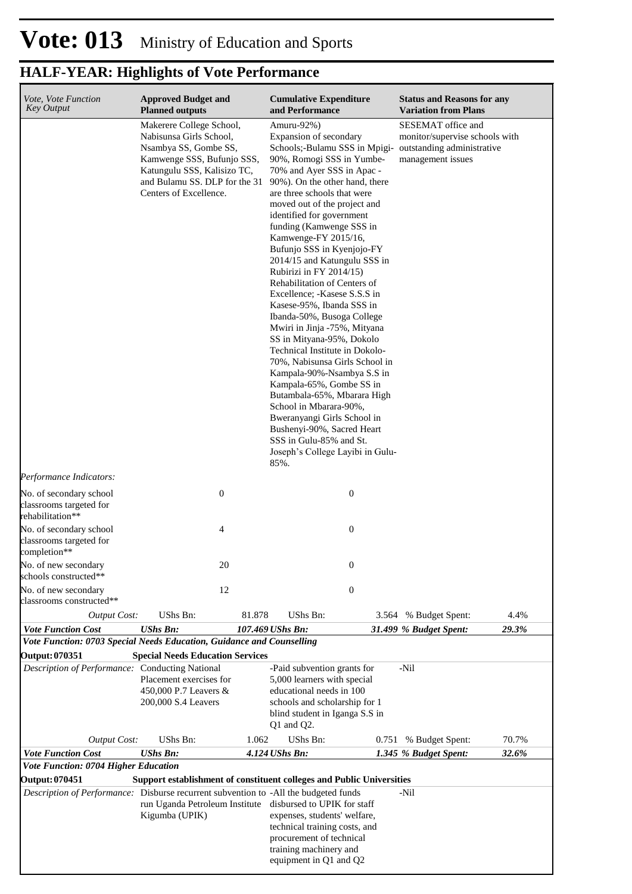| Vote, Vote Function<br><b>Key Output</b>                                                    | <b>Approved Budget and</b><br><b>Planned outputs</b>                                                                                                                                                 |        | <b>Cumulative Expenditure</b><br>and Performance                                                                                                                                                                                                                                                                                                                                                                                                                                                                                                                                                                                                                                                                                                                                                                                                                                                                                                          |       | <b>Status and Reasons for any</b><br><b>Variation from Plans</b>          |       |
|---------------------------------------------------------------------------------------------|------------------------------------------------------------------------------------------------------------------------------------------------------------------------------------------------------|--------|-----------------------------------------------------------------------------------------------------------------------------------------------------------------------------------------------------------------------------------------------------------------------------------------------------------------------------------------------------------------------------------------------------------------------------------------------------------------------------------------------------------------------------------------------------------------------------------------------------------------------------------------------------------------------------------------------------------------------------------------------------------------------------------------------------------------------------------------------------------------------------------------------------------------------------------------------------------|-------|---------------------------------------------------------------------------|-------|
|                                                                                             | Makerere College School,<br>Nabisunsa Girls School,<br>Nsambya SS, Gombe SS,<br>Kamwenge SSS, Bufunjo SSS,<br>Katungulu SSS, Kalisizo TC,<br>and Bulamu SS. DLP for the 31<br>Centers of Excellence. |        | Amuru-92%)<br>Expansion of secondary<br>Schools;-Bulamu SSS in Mpigi- outstanding administrative<br>90%, Romogi SSS in Yumbe-<br>70% and Ayer SSS in Apac -<br>90%). On the other hand, there<br>are three schools that were<br>moved out of the project and<br>identified for government<br>funding (Kamwenge SSS in<br>Kamwenge-FY 2015/16,<br>Bufunjo SSS in Kyenjojo-FY<br>2014/15 and Katungulu SSS in<br>Rubirizi in FY 2014/15)<br>Rehabilitation of Centers of<br>Excellence; -Kasese S.S.S in<br>Kasese-95%, Ibanda SSS in<br>Ibanda-50%, Busoga College<br>Mwiri in Jinja -75%, Mityana<br>SS in Mityana-95%, Dokolo<br>Technical Institute in Dokolo-<br>70%, Nabisunsa Girls School in<br>Kampala-90%-Nsambya S.S in<br>Kampala-65%, Gombe SS in<br>Butambala-65%, Mbarara High<br>School in Mbarara-90%,<br>Bweranyangi Girls School in<br>Bushenyi-90%, Sacred Heart<br>SSS in Gulu-85% and St.<br>Joseph's College Layibi in Gulu-<br>85%. |       | SESEMAT office and<br>monitor/supervise schools with<br>management issues |       |
| Performance Indicators:                                                                     |                                                                                                                                                                                                      |        |                                                                                                                                                                                                                                                                                                                                                                                                                                                                                                                                                                                                                                                                                                                                                                                                                                                                                                                                                           |       |                                                                           |       |
| No. of secondary school<br>classrooms targeted for<br>rehabilitation**                      | $\boldsymbol{0}$                                                                                                                                                                                     |        | $\boldsymbol{0}$                                                                                                                                                                                                                                                                                                                                                                                                                                                                                                                                                                                                                                                                                                                                                                                                                                                                                                                                          |       |                                                                           |       |
| No. of secondary school<br>classrooms targeted for<br>completion**                          | 4                                                                                                                                                                                                    |        | $\boldsymbol{0}$                                                                                                                                                                                                                                                                                                                                                                                                                                                                                                                                                                                                                                                                                                                                                                                                                                                                                                                                          |       |                                                                           |       |
| No. of new secondary<br>schools constructed**                                               | 20                                                                                                                                                                                                   |        | $\boldsymbol{0}$                                                                                                                                                                                                                                                                                                                                                                                                                                                                                                                                                                                                                                                                                                                                                                                                                                                                                                                                          |       |                                                                           |       |
| No. of new secondary<br>classrooms constructed**                                            | 12                                                                                                                                                                                                   |        | $\boldsymbol{0}$                                                                                                                                                                                                                                                                                                                                                                                                                                                                                                                                                                                                                                                                                                                                                                                                                                                                                                                                          |       |                                                                           |       |
| <b>Output Cost:</b>                                                                         | UShs Bn:                                                                                                                                                                                             | 81.878 | <b>UShs Bn:</b>                                                                                                                                                                                                                                                                                                                                                                                                                                                                                                                                                                                                                                                                                                                                                                                                                                                                                                                                           |       | 3.564 % Budget Spent:                                                     | 4.4%  |
| <b>Vote Function Cost</b>                                                                   | <b>UShs Bn:</b>                                                                                                                                                                                      |        | 107.469 UShs Bn:                                                                                                                                                                                                                                                                                                                                                                                                                                                                                                                                                                                                                                                                                                                                                                                                                                                                                                                                          |       | 31.499 % Budget Spent:                                                    | 29.3% |
| Vote Function: 0703 Special Needs Education, Guidance and Counselling                       |                                                                                                                                                                                                      |        |                                                                                                                                                                                                                                                                                                                                                                                                                                                                                                                                                                                                                                                                                                                                                                                                                                                                                                                                                           |       |                                                                           |       |
| Output: 070351<br>Description of Performance: Conducting National                           | <b>Special Needs Education Services</b>                                                                                                                                                              |        | -Paid subvention grants for                                                                                                                                                                                                                                                                                                                                                                                                                                                                                                                                                                                                                                                                                                                                                                                                                                                                                                                               |       | -Nil                                                                      |       |
|                                                                                             | Placement exercises for<br>450,000 P.7 Leavers &<br>200,000 S.4 Leavers                                                                                                                              |        | 5,000 learners with special<br>educational needs in 100<br>schools and scholarship for 1<br>blind student in Iganga S.S in<br>$Q1$ and $Q2$ .                                                                                                                                                                                                                                                                                                                                                                                                                                                                                                                                                                                                                                                                                                                                                                                                             |       |                                                                           |       |
| <b>Output Cost:</b>                                                                         | UShs Bn:                                                                                                                                                                                             | 1.062  | UShs Bn:                                                                                                                                                                                                                                                                                                                                                                                                                                                                                                                                                                                                                                                                                                                                                                                                                                                                                                                                                  | 0.751 | % Budget Spent:                                                           | 70.7% |
| <b>Vote Function Cost</b>                                                                   | <b>UShs Bn:</b>                                                                                                                                                                                      |        | 4.124 UShs Bn:                                                                                                                                                                                                                                                                                                                                                                                                                                                                                                                                                                                                                                                                                                                                                                                                                                                                                                                                            |       | 1.345 % Budget Spent:                                                     | 32.6% |
| Vote Function: 0704 Higher Education                                                        |                                                                                                                                                                                                      |        |                                                                                                                                                                                                                                                                                                                                                                                                                                                                                                                                                                                                                                                                                                                                                                                                                                                                                                                                                           |       |                                                                           |       |
| <b>Output: 070451</b>                                                                       | Support establishment of constituent colleges and Public Universities                                                                                                                                |        |                                                                                                                                                                                                                                                                                                                                                                                                                                                                                                                                                                                                                                                                                                                                                                                                                                                                                                                                                           |       |                                                                           |       |
| <i>Description of Performance:</i> Disburse recurrent subvention to -All the budgeted funds | run Uganda Petroleum Institute disbursed to UPIK for staff<br>Kigumba (UPIK)                                                                                                                         |        | expenses, students' welfare,<br>technical training costs, and<br>procurement of technical<br>training machinery and<br>equipment in Q1 and Q2                                                                                                                                                                                                                                                                                                                                                                                                                                                                                                                                                                                                                                                                                                                                                                                                             |       | -Nil                                                                      |       |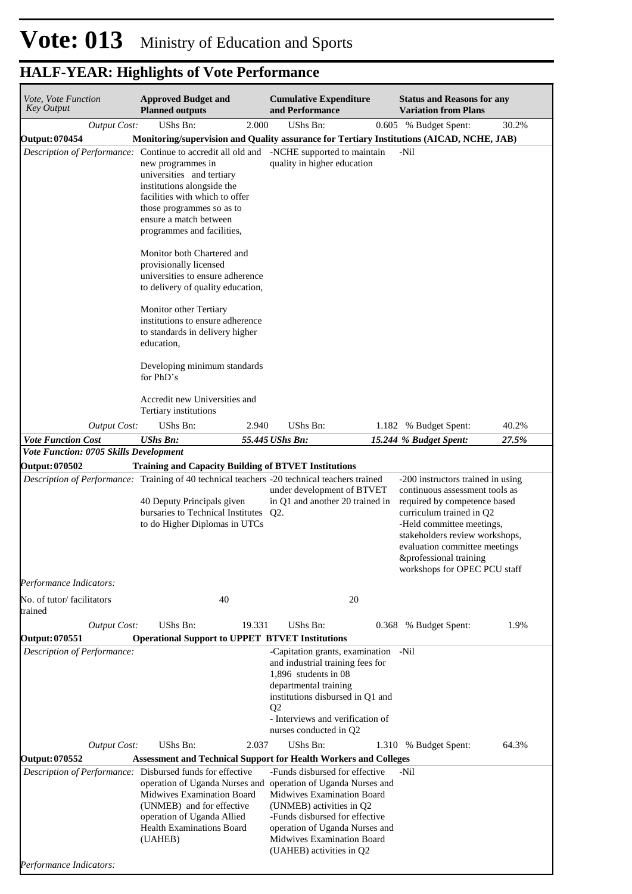| Vote, Vote Function<br><b>Key Output</b>                                                     | <b>Approved Budget and</b><br><b>Planned outputs</b>                                                                                                                                                  |        | <b>Cumulative Expenditure</b><br>and Performance                                                                                                                                                                                                |    | <b>Status and Reasons for any</b><br><b>Variation from Plans</b>                                                                                                                               |       |  |
|----------------------------------------------------------------------------------------------|-------------------------------------------------------------------------------------------------------------------------------------------------------------------------------------------------------|--------|-------------------------------------------------------------------------------------------------------------------------------------------------------------------------------------------------------------------------------------------------|----|------------------------------------------------------------------------------------------------------------------------------------------------------------------------------------------------|-------|--|
| <b>Output Cost:</b>                                                                          | <b>UShs Bn:</b>                                                                                                                                                                                       | 2.000  | <b>UShs Bn:</b>                                                                                                                                                                                                                                 |    | 0.605 % Budget Spent:                                                                                                                                                                          | 30.2% |  |
| <b>Output: 070454</b>                                                                        | Monitoring/supervision and Quality assurance for Tertiary Institutions (AICAD, NCHE, JAB)                                                                                                             |        |                                                                                                                                                                                                                                                 |    |                                                                                                                                                                                                |       |  |
| Description of Performance: Continue to accredit all old and -NCHE supported to maintain     | new programmes in<br>universities and tertiary<br>institutions alongside the<br>facilities with which to offer<br>those programmes so as to<br>ensure a match between<br>programmes and facilities,   |        | quality in higher education                                                                                                                                                                                                                     |    | -Nil                                                                                                                                                                                           |       |  |
|                                                                                              | Monitor both Chartered and<br>provisionally licensed<br>universities to ensure adherence<br>to delivery of quality education,                                                                         |        |                                                                                                                                                                                                                                                 |    |                                                                                                                                                                                                |       |  |
|                                                                                              | Monitor other Tertiary<br>institutions to ensure adherence<br>to standards in delivery higher<br>education,                                                                                           |        |                                                                                                                                                                                                                                                 |    |                                                                                                                                                                                                |       |  |
|                                                                                              | Developing minimum standards<br>for PhD's                                                                                                                                                             |        |                                                                                                                                                                                                                                                 |    |                                                                                                                                                                                                |       |  |
|                                                                                              | Accredit new Universities and<br>Tertiary institutions                                                                                                                                                |        |                                                                                                                                                                                                                                                 |    |                                                                                                                                                                                                |       |  |
| <b>Output Cost:</b>                                                                          | UShs Bn:                                                                                                                                                                                              | 2.940  | <b>UShs Bn:</b>                                                                                                                                                                                                                                 |    | 1.182 % Budget Spent:                                                                                                                                                                          | 40.2% |  |
| <b>Vote Function Cost</b>                                                                    | <b>UShs Bn:</b>                                                                                                                                                                                       |        | 55.445 UShs Bn:                                                                                                                                                                                                                                 |    | 15.244 % Budget Spent:                                                                                                                                                                         | 27.5% |  |
| Vote Function: 0705 Skills Development<br><b>Output: 070502</b>                              | <b>Training and Capacity Building of BTVET Institutions</b>                                                                                                                                           |        |                                                                                                                                                                                                                                                 |    |                                                                                                                                                                                                |       |  |
| Description of Performance: Training of 40 technical teachers -20 technical teachers trained | 40 Deputy Principals given<br>bursaries to Technical Institutes<br>to do Higher Diplomas in UTCs                                                                                                      |        | under development of BTVET<br>in Q1 and another 20 trained in<br>$Q2$ .                                                                                                                                                                         |    | -200 instructors trained in using<br>continuous assessment tools as<br>required by competence based<br>curriculum trained in Q2<br>-Held committee meetings,<br>stakeholders review workshops, |       |  |
|                                                                                              |                                                                                                                                                                                                       |        |                                                                                                                                                                                                                                                 |    | evaluation committee meetings<br>&professional training<br>workshops for OPEC PCU staff                                                                                                        |       |  |
| Performance Indicators:                                                                      |                                                                                                                                                                                                       |        |                                                                                                                                                                                                                                                 |    |                                                                                                                                                                                                |       |  |
| No. of tutor/facilitators<br>trained                                                         | 40                                                                                                                                                                                                    |        |                                                                                                                                                                                                                                                 | 20 |                                                                                                                                                                                                |       |  |
| <b>Output Cost:</b>                                                                          | UShs Bn:                                                                                                                                                                                              | 19.331 | <b>UShs Bn:</b>                                                                                                                                                                                                                                 |    | 0.368 % Budget Spent:                                                                                                                                                                          | 1.9%  |  |
| <b>Output: 070551</b>                                                                        | <b>Operational Support to UPPET BTVET Institutions</b>                                                                                                                                                |        |                                                                                                                                                                                                                                                 |    |                                                                                                                                                                                                |       |  |
| Description of Performance:                                                                  |                                                                                                                                                                                                       |        | -Capitation grants, examination -Nil<br>and industrial training fees for<br>1,896 students in $08$<br>departmental training<br>institutions disbursed in Q1 and<br>Q <sub>2</sub><br>- Interviews and verification of<br>nurses conducted in Q2 |    |                                                                                                                                                                                                |       |  |
| <b>Output Cost:</b>                                                                          | UShs Bn:                                                                                                                                                                                              | 2.037  | <b>UShs Bn:</b>                                                                                                                                                                                                                                 |    | 1.310 % Budget Spent:                                                                                                                                                                          | 64.3% |  |
| <b>Output: 070552</b>                                                                        | <b>Assessment and Technical Support for Health Workers and Colleges</b>                                                                                                                               |        |                                                                                                                                                                                                                                                 |    |                                                                                                                                                                                                |       |  |
| Description of Performance: Disbursed funds for effective                                    | operation of Uganda Nurses and operation of Uganda Nurses and<br>Midwives Examination Board<br>(UNMEB) and for effective<br>operation of Uganda Allied<br><b>Health Examinations Board</b><br>(UAHEB) |        | -Funds disbursed for effective<br>Midwives Examination Board<br>(UNMEB) activities in Q2<br>-Funds disbursed for effective<br>operation of Uganda Nurses and<br>Midwives Examination Board                                                      |    | -Nil                                                                                                                                                                                           |       |  |
| Performance Indicators:                                                                      |                                                                                                                                                                                                       |        | (UAHEB) activities in Q2                                                                                                                                                                                                                        |    |                                                                                                                                                                                                |       |  |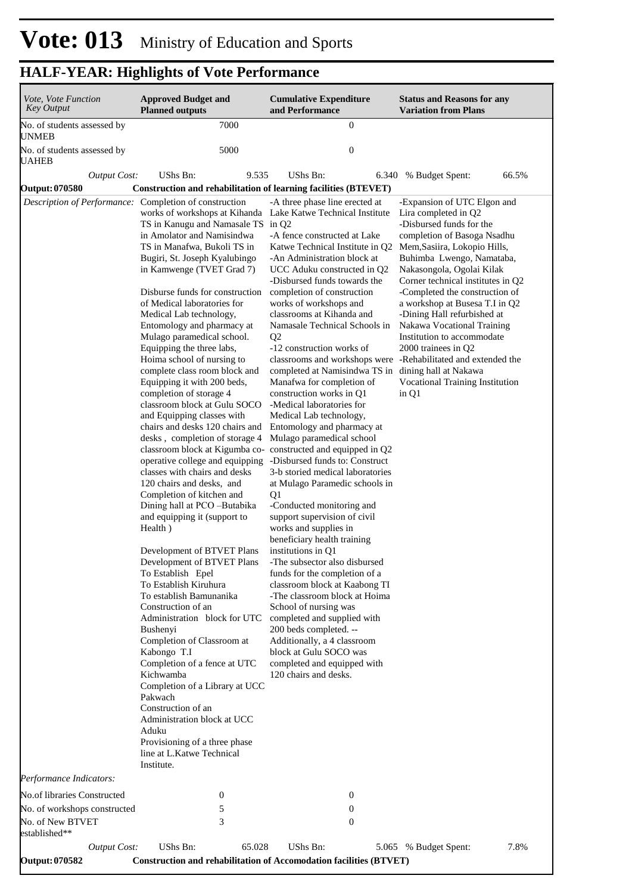| Vote, Vote Function<br><b>Key Output</b>                                                                                                                                              | <b>Approved Budget and</b><br><b>Planned outputs</b>                                                                                                                                                                                                                                                                                                                                                                                                                                                                                                                                                                                                                                                                                                                                                                                                                                                                                                                                                                                                                                                                                                                                                                                                                                                                                                                                                                                                                        | <b>Cumulative Expenditure</b><br>and Performance                                                                                                                                                                                                                                                                                                                                                                                                                                                                                                                                                                                                                                                                                                                                                                                                                                                                                                                                                                                                                                                                                                                                                                                                                                                      | <b>Status and Reasons for any</b><br><b>Variation from Plans</b>                                                                                                                                                                                                                                                                                                                                                                                                                |
|---------------------------------------------------------------------------------------------------------------------------------------------------------------------------------------|-----------------------------------------------------------------------------------------------------------------------------------------------------------------------------------------------------------------------------------------------------------------------------------------------------------------------------------------------------------------------------------------------------------------------------------------------------------------------------------------------------------------------------------------------------------------------------------------------------------------------------------------------------------------------------------------------------------------------------------------------------------------------------------------------------------------------------------------------------------------------------------------------------------------------------------------------------------------------------------------------------------------------------------------------------------------------------------------------------------------------------------------------------------------------------------------------------------------------------------------------------------------------------------------------------------------------------------------------------------------------------------------------------------------------------------------------------------------------------|-------------------------------------------------------------------------------------------------------------------------------------------------------------------------------------------------------------------------------------------------------------------------------------------------------------------------------------------------------------------------------------------------------------------------------------------------------------------------------------------------------------------------------------------------------------------------------------------------------------------------------------------------------------------------------------------------------------------------------------------------------------------------------------------------------------------------------------------------------------------------------------------------------------------------------------------------------------------------------------------------------------------------------------------------------------------------------------------------------------------------------------------------------------------------------------------------------------------------------------------------------------------------------------------------------|---------------------------------------------------------------------------------------------------------------------------------------------------------------------------------------------------------------------------------------------------------------------------------------------------------------------------------------------------------------------------------------------------------------------------------------------------------------------------------|
| No. of students assessed by<br>UNMEB                                                                                                                                                  | 7000                                                                                                                                                                                                                                                                                                                                                                                                                                                                                                                                                                                                                                                                                                                                                                                                                                                                                                                                                                                                                                                                                                                                                                                                                                                                                                                                                                                                                                                                        | $\boldsymbol{0}$                                                                                                                                                                                                                                                                                                                                                                                                                                                                                                                                                                                                                                                                                                                                                                                                                                                                                                                                                                                                                                                                                                                                                                                                                                                                                      |                                                                                                                                                                                                                                                                                                                                                                                                                                                                                 |
| No. of students assessed by<br>UAHEB                                                                                                                                                  | 5000                                                                                                                                                                                                                                                                                                                                                                                                                                                                                                                                                                                                                                                                                                                                                                                                                                                                                                                                                                                                                                                                                                                                                                                                                                                                                                                                                                                                                                                                        | $\boldsymbol{0}$                                                                                                                                                                                                                                                                                                                                                                                                                                                                                                                                                                                                                                                                                                                                                                                                                                                                                                                                                                                                                                                                                                                                                                                                                                                                                      |                                                                                                                                                                                                                                                                                                                                                                                                                                                                                 |
| <b>Output Cost:</b>                                                                                                                                                                   | <b>UShs Bn:</b><br>9.535                                                                                                                                                                                                                                                                                                                                                                                                                                                                                                                                                                                                                                                                                                                                                                                                                                                                                                                                                                                                                                                                                                                                                                                                                                                                                                                                                                                                                                                    | UShs Bn:<br>6.340                                                                                                                                                                                                                                                                                                                                                                                                                                                                                                                                                                                                                                                                                                                                                                                                                                                                                                                                                                                                                                                                                                                                                                                                                                                                                     | 66.5%<br>% Budget Spent:                                                                                                                                                                                                                                                                                                                                                                                                                                                        |
| <b>Output: 070580</b>                                                                                                                                                                 | <b>Construction and rehabilitation of learning facilities (BTEVET)</b>                                                                                                                                                                                                                                                                                                                                                                                                                                                                                                                                                                                                                                                                                                                                                                                                                                                                                                                                                                                                                                                                                                                                                                                                                                                                                                                                                                                                      |                                                                                                                                                                                                                                                                                                                                                                                                                                                                                                                                                                                                                                                                                                                                                                                                                                                                                                                                                                                                                                                                                                                                                                                                                                                                                                       |                                                                                                                                                                                                                                                                                                                                                                                                                                                                                 |
| Description of Performance: Completion of construction<br>Performance Indicators:<br>No.of libraries Constructed<br>No. of workshops constructed<br>No. of New BTVET<br>established** | works of workshops at Kihanda Lake Katwe Technical Institute<br>TS in Kanugu and Namasale TS in Q2<br>in Amolator and Namisindwa<br>TS in Manafwa, Bukoli TS in<br>Bugiri, St. Joseph Kyalubingo<br>in Kamwenge (TVET Grad 7)<br>Disburse funds for construction<br>of Medical laboratories for<br>Medical Lab technology,<br>Entomology and pharmacy at<br>Mulago paramedical school.<br>Equipping the three labs,<br>Hoima school of nursing to<br>complete class room block and<br>Equipping it with 200 beds,<br>completion of storage 4<br>classroom block at Gulu SOCO<br>and Equipping classes with<br>chairs and desks 120 chairs and<br>desks, completion of storage 4<br>classroom block at Kigumba co- constructed and equipped in Q2<br>operative college and equipping<br>classes with chairs and desks<br>120 chairs and desks, and<br>Completion of kitchen and<br>Dining hall at PCO -Butabika<br>and equipping it (support to<br>Health)<br>Development of BTVET Plans<br>Development of BTVET Plans<br>To Establish Epel<br>To Establish Kiruhura<br>To establish Bamunanika<br>Construction of an<br>Administration block for UTC<br>Bushenyi<br>Completion of Classroom at<br>Kabongo T.I<br>Completion of a fence at UTC<br>Kichwamba<br>Completion of a Library at UCC<br>Pakwach<br>Construction of an<br>Administration block at UCC<br>Aduku<br>Provisioning of a three phase<br>line at L.Katwe Technical<br>Institute.<br>$\mathbf{0}$<br>5<br>3 | -A three phase line erected at<br>-A fence constructed at Lake<br>Katwe Technical Institute in Q2<br>-An Administration block at<br>UCC Aduku constructed in Q2<br>-Disbursed funds towards the<br>completion of construction<br>works of workshops and<br>classrooms at Kihanda and<br>Namasale Technical Schools in<br>Q2<br>-12 construction works of<br>classrooms and workshops were -Rehabilitated and extended the<br>completed at Namisindwa TS in dining hall at Nakawa<br>Manafwa for completion of<br>construction works in Q1<br>-Medical laboratories for<br>Medical Lab technology,<br>Entomology and pharmacy at<br>Mulago paramedical school<br>-Disbursed funds to: Construct<br>3-b storied medical laboratories<br>at Mulago Paramedic schools in<br>Q1<br>-Conducted monitoring and<br>support supervision of civil<br>works and supplies in<br>beneficiary health training<br>institutions in Q1<br>-The subsector also disbursed<br>funds for the completion of a<br>classroom block at Kaabong TI<br>-The classroom block at Hoima<br>School of nursing was<br>completed and supplied with<br>200 beds completed. --<br>Additionally, a 4 classroom<br>block at Gulu SOCO was<br>completed and equipped with<br>120 chairs and desks.<br>0<br>$\boldsymbol{0}$<br>$\mathbf{0}$ | -Expansion of UTC Elgon and<br>Lira completed in Q2<br>-Disbursed funds for the<br>completion of Basoga Nsadhu<br>Mem, Sasiira, Lokopio Hills,<br>Buhimba Lwengo, Namataba,<br>Nakasongola, Ogolai Kilak<br>Corner technical institutes in Q2<br>-Completed the construction of<br>a workshop at Busesa T.I in Q2<br>-Dining Hall refurbished at<br>Nakawa Vocational Training<br>Institution to accommodate<br>2000 trainees in Q2<br>Vocational Training Institution<br>in Q1 |
| <b>Output Cost:</b>                                                                                                                                                                   | UShs Bn:<br>65.028                                                                                                                                                                                                                                                                                                                                                                                                                                                                                                                                                                                                                                                                                                                                                                                                                                                                                                                                                                                                                                                                                                                                                                                                                                                                                                                                                                                                                                                          | UShs Bn:                                                                                                                                                                                                                                                                                                                                                                                                                                                                                                                                                                                                                                                                                                                                                                                                                                                                                                                                                                                                                                                                                                                                                                                                                                                                                              | 7.8%<br>5.065 % Budget Spent:                                                                                                                                                                                                                                                                                                                                                                                                                                                   |
| <b>Output: 070582</b>                                                                                                                                                                 |                                                                                                                                                                                                                                                                                                                                                                                                                                                                                                                                                                                                                                                                                                                                                                                                                                                                                                                                                                                                                                                                                                                                                                                                                                                                                                                                                                                                                                                                             | <b>Construction and rehabilitation of Accomodation facilities (BTVET)</b>                                                                                                                                                                                                                                                                                                                                                                                                                                                                                                                                                                                                                                                                                                                                                                                                                                                                                                                                                                                                                                                                                                                                                                                                                             |                                                                                                                                                                                                                                                                                                                                                                                                                                                                                 |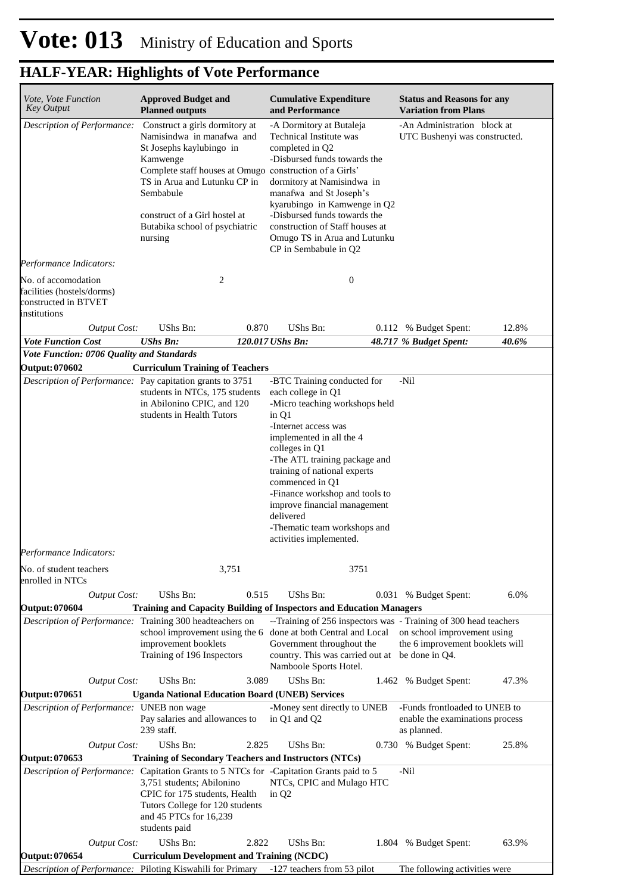| Vote, Vote Function<br><b>Key Output</b>                                                  |                     | <b>Approved Budget and</b><br><b>Planned outputs</b>                                                                                                                                                                           |       | <b>Cumulative Expenditure</b><br>and Performance                                                                                                                                                                                                                                                                                                                                                 |       | <b>Status and Reasons for any</b><br><b>Variation from Plans</b>                |       |
|-------------------------------------------------------------------------------------------|---------------------|--------------------------------------------------------------------------------------------------------------------------------------------------------------------------------------------------------------------------------|-------|--------------------------------------------------------------------------------------------------------------------------------------------------------------------------------------------------------------------------------------------------------------------------------------------------------------------------------------------------------------------------------------------------|-------|---------------------------------------------------------------------------------|-------|
| Description of Performance:                                                               |                     | Construct a girls dormitory at<br>Namisindwa in manafwa and<br>St Josephs kaylubingo in<br>Kamwenge<br>TS in Arua and Lutunku CP in<br>Sembabule<br>construct of a Girl hostel at<br>Butabika school of psychiatric<br>nursing |       | -A Dormitory at Butaleja<br>Technical Institute was<br>completed in Q2<br>-Disbursed funds towards the<br>Complete staff houses at Omugo construction of a Girls'<br>dormitory at Namisindwa in<br>manafwa and St Joseph's<br>kyarubingo in Kamwenge in Q2<br>-Disbursed funds towards the<br>construction of Staff houses at<br>Omugo TS in Arua and Lutunku<br>CP in Sembabule in Q2           |       | -An Administration block at<br>UTC Bushenyi was constructed.                    |       |
| Performance Indicators:                                                                   |                     |                                                                                                                                                                                                                                |       |                                                                                                                                                                                                                                                                                                                                                                                                  |       |                                                                                 |       |
| No. of accomodation<br>facilities (hostels/dorms)<br>constructed in BTVET<br>institutions |                     | $\overline{2}$                                                                                                                                                                                                                 |       | $\mathbf{0}$                                                                                                                                                                                                                                                                                                                                                                                     |       |                                                                                 |       |
|                                                                                           | <b>Output Cost:</b> | UShs Bn:                                                                                                                                                                                                                       | 0.870 | UShs Bn:                                                                                                                                                                                                                                                                                                                                                                                         |       | 0.112 % Budget Spent:                                                           | 12.8% |
| <b>Vote Function Cost</b>                                                                 |                     | <b>UShs Bn:</b>                                                                                                                                                                                                                |       | 120.017 UShs Bn:                                                                                                                                                                                                                                                                                                                                                                                 |       | 48.717 % Budget Spent:                                                          | 40.6% |
| Vote Function: 0706 Quality and Standards<br><b>Output: 070602</b>                        |                     |                                                                                                                                                                                                                                |       |                                                                                                                                                                                                                                                                                                                                                                                                  |       |                                                                                 |       |
| Performance Indicators:                                                                   |                     | <b>Curriculum Training of Teachers</b><br>Description of Performance: Pay capitation grants to 3751<br>students in NTCs, 175 students<br>in Abilonino CPIC, and 120<br>students in Health Tutors                               |       | -BTC Training conducted for<br>each college in Q1<br>-Micro teaching workshops held<br>in Q1<br>-Internet access was<br>implemented in all the 4<br>colleges in Q1<br>-The ATL training package and<br>training of national experts<br>commenced in Q1<br>-Finance workshop and tools to<br>improve financial management<br>delivered<br>-Thematic team workshops and<br>activities implemented. |       | -Nil                                                                            |       |
| No. of student teachers<br>enrolled in NTCs                                               |                     |                                                                                                                                                                                                                                | 3,751 |                                                                                                                                                                                                                                                                                                                                                                                                  | 3751  |                                                                                 |       |
|                                                                                           | <b>Output Cost:</b> | UShs Bn:                                                                                                                                                                                                                       | 0.515 | <b>UShs Bn:</b>                                                                                                                                                                                                                                                                                                                                                                                  |       | 0.031 % Budget Spent:                                                           | 6.0%  |
| <b>Output: 070604</b>                                                                     |                     |                                                                                                                                                                                                                                |       | <b>Training and Capacity Building of Inspectors and Education Managers</b>                                                                                                                                                                                                                                                                                                                       |       |                                                                                 |       |
|                                                                                           |                     | Description of Performance: Training 300 headteachers on<br>school improvement using the 6<br>improvement booklets<br>Training of 196 Inspectors<br>UShs Bn:                                                                   |       | --Training of 256 inspectors was - Training of 300 head teachers<br>done at both Central and Local<br>Government throughout the<br>country. This was carried out at be done in Q4.<br>Namboole Sports Hotel.                                                                                                                                                                                     |       | on school improvement using<br>the 6 improvement booklets will                  |       |
| <b>Output: 070651</b>                                                                     | <b>Output Cost:</b> | <b>Uganda National Education Board (UNEB) Services</b>                                                                                                                                                                         | 3.089 | UShs Bn:                                                                                                                                                                                                                                                                                                                                                                                         | 1.462 | % Budget Spent:                                                                 | 47.3% |
|                                                                                           |                     | Description of Performance: UNEB non wage<br>Pay salaries and allowances to<br>239 staff.                                                                                                                                      |       | -Money sent directly to UNEB<br>in Q1 and Q2                                                                                                                                                                                                                                                                                                                                                     |       | -Funds frontloaded to UNEB to<br>enable the examinations process<br>as planned. |       |
|                                                                                           | <b>Output Cost:</b> | UShs Bn:                                                                                                                                                                                                                       | 2.825 | <b>UShs Bn:</b>                                                                                                                                                                                                                                                                                                                                                                                  |       | 0.730 % Budget Spent:                                                           | 25.8% |
| <b>Output: 070653</b>                                                                     |                     | 3,751 students; Abilonino<br>CPIC for 175 students, Health<br>Tutors College for 120 students<br>and 45 PTCs for 16,239                                                                                                        |       | Training of Secondary Teachers and Instructors (NTCs)<br><i>Description of Performance:</i> Capitation Grants to 5 NTCs for -Capitation Grants paid to 5<br>NTCs, CPIC and Mulago HTC<br>in $Q2$                                                                                                                                                                                                 |       | -Nil                                                                            |       |
|                                                                                           |                     | students paid                                                                                                                                                                                                                  |       |                                                                                                                                                                                                                                                                                                                                                                                                  |       |                                                                                 |       |
| <b>Output: 070654</b>                                                                     | <b>Output Cost:</b> | UShs Bn:<br><b>Curriculum Development and Training (NCDC)</b>                                                                                                                                                                  | 2.822 | <b>UShs Bn:</b>                                                                                                                                                                                                                                                                                                                                                                                  | 1.804 | % Budget Spent:                                                                 | 63.9% |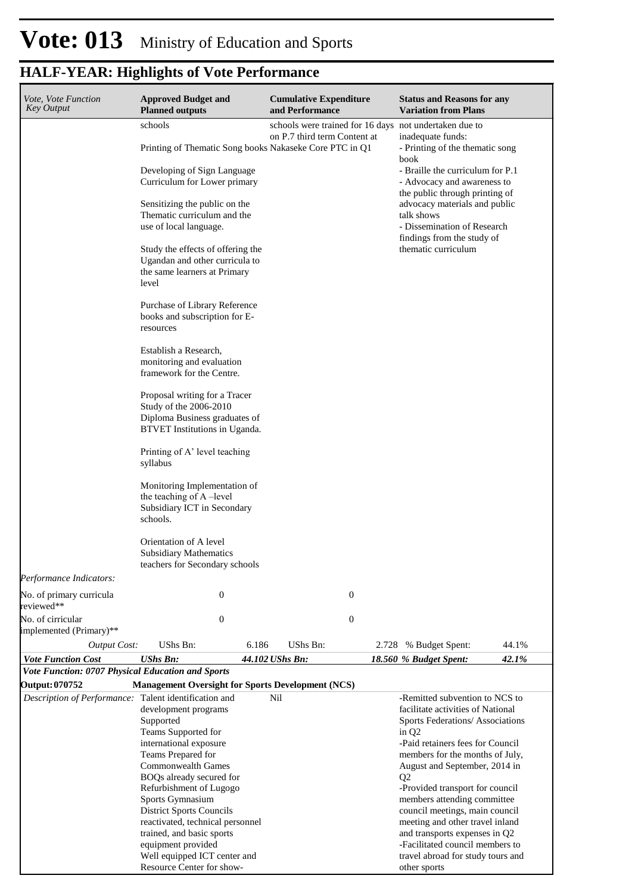| Vote, Vote Function<br><b>Key Output</b>                                | <b>Approved Budget and</b><br><b>Planned outputs</b>                                                                                                                                                                                                                                                                                                                                                                                                                                                                                                                                                                                                                                                                                                                                                                                                                                       | <b>Cumulative Expenditure</b><br>and Performance                                       | <b>Status and Reasons for any</b><br><b>Variation from Plans</b>                                                                                                                                                                                                                                                                                                                                                                                                                                 |
|-------------------------------------------------------------------------|--------------------------------------------------------------------------------------------------------------------------------------------------------------------------------------------------------------------------------------------------------------------------------------------------------------------------------------------------------------------------------------------------------------------------------------------------------------------------------------------------------------------------------------------------------------------------------------------------------------------------------------------------------------------------------------------------------------------------------------------------------------------------------------------------------------------------------------------------------------------------------------------|----------------------------------------------------------------------------------------|--------------------------------------------------------------------------------------------------------------------------------------------------------------------------------------------------------------------------------------------------------------------------------------------------------------------------------------------------------------------------------------------------------------------------------------------------------------------------------------------------|
|                                                                         | schools<br>Printing of Thematic Song books Nakaseke Core PTC in Q1<br>Developing of Sign Language<br>Curriculum for Lower primary<br>Sensitizing the public on the<br>Thematic curriculum and the<br>use of local language.<br>Study the effects of offering the<br>Ugandan and other curricula to<br>the same learners at Primary<br>level<br>Purchase of Library Reference<br>books and subscription for E-<br>resources<br>Establish a Research,<br>monitoring and evaluation<br>framework for the Centre.<br>Proposal writing for a Tracer<br>Study of the 2006-2010<br>Diploma Business graduates of<br>BTVET Institutions in Uganda.<br>Printing of A' level teaching<br>syllabus<br>Monitoring Implementation of<br>the teaching of A-level<br>Subsidiary ICT in Secondary<br>schools.<br>Orientation of A level<br><b>Subsidiary Mathematics</b><br>teachers for Secondary schools | schools were trained for 16 days not undertaken due to<br>on P.7 third term Content at | inadequate funds:<br>- Printing of the thematic song<br>book<br>- Braille the curriculum for P.1<br>- Advocacy and awareness to<br>the public through printing of<br>advocacy materials and public<br>talk shows<br>- Dissemination of Research<br>findings from the study of<br>thematic curriculum                                                                                                                                                                                             |
| Performance Indicators:                                                 |                                                                                                                                                                                                                                                                                                                                                                                                                                                                                                                                                                                                                                                                                                                                                                                                                                                                                            |                                                                                        |                                                                                                                                                                                                                                                                                                                                                                                                                                                                                                  |
| No. of primary curricula<br>reviewed**                                  | $\boldsymbol{0}$                                                                                                                                                                                                                                                                                                                                                                                                                                                                                                                                                                                                                                                                                                                                                                                                                                                                           | $\boldsymbol{0}$                                                                       |                                                                                                                                                                                                                                                                                                                                                                                                                                                                                                  |
| No. of cirricular<br>implemented (Primary)**                            | $\boldsymbol{0}$                                                                                                                                                                                                                                                                                                                                                                                                                                                                                                                                                                                                                                                                                                                                                                                                                                                                           | $\boldsymbol{0}$                                                                       |                                                                                                                                                                                                                                                                                                                                                                                                                                                                                                  |
| <b>Output Cost:</b>                                                     | UShs Bn:<br>6.186                                                                                                                                                                                                                                                                                                                                                                                                                                                                                                                                                                                                                                                                                                                                                                                                                                                                          | UShs Bn:<br>2.728                                                                      | 44.1%<br>% Budget Spent:                                                                                                                                                                                                                                                                                                                                                                                                                                                                         |
| <b>Vote Function Cost</b>                                               | <b>UShs Bn:</b>                                                                                                                                                                                                                                                                                                                                                                                                                                                                                                                                                                                                                                                                                                                                                                                                                                                                            | 44.102 UShs Bn:                                                                        | 42.1%<br>18.560 % Budget Spent:                                                                                                                                                                                                                                                                                                                                                                                                                                                                  |
| Vote Function: 0707 Physical Education and Sports                       |                                                                                                                                                                                                                                                                                                                                                                                                                                                                                                                                                                                                                                                                                                                                                                                                                                                                                            |                                                                                        |                                                                                                                                                                                                                                                                                                                                                                                                                                                                                                  |
| Output: 070752<br>Description of Performance: Talent identification and | <b>Management Oversight for Sports Development (NCS)</b><br>development programs<br>Supported<br>Teams Supported for<br>international exposure<br>Teams Prepared for<br><b>Commonwealth Games</b><br>BOQs already secured for<br>Refurbishment of Lugogo<br>Sports Gymnasium<br><b>District Sports Councils</b><br>reactivated, technical personnel<br>trained, and basic sports<br>equipment provided<br>Well equipped ICT center and<br>Resource Center for show-                                                                                                                                                                                                                                                                                                                                                                                                                        | Nil                                                                                    | -Remitted subvention to NCS to<br>facilitate activities of National<br>Sports Federations/ Associations<br>in $Q2$<br>-Paid retainers fees for Council<br>members for the months of July,<br>August and September, 2014 in<br>Q2<br>-Provided transport for council<br>members attending committee<br>council meetings, main council<br>meeting and other travel inland<br>and transports expenses in Q2<br>-Facilitated council members to<br>travel abroad for study tours and<br>other sports |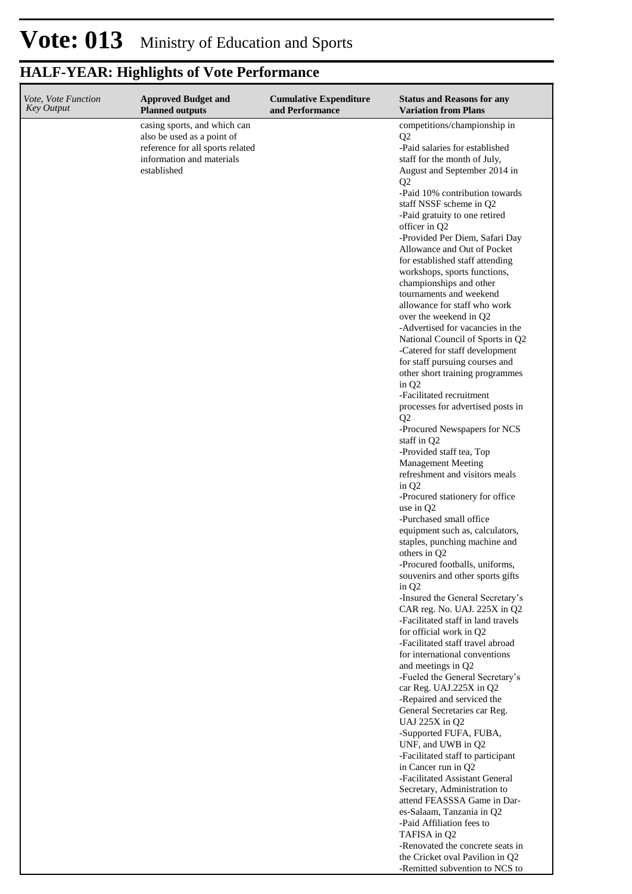| Vote, Vote Function<br><b>Key Output</b> | <b>Approved Budget and</b><br><b>Planned outputs</b>                                                                                       | <b>Cumulative Expenditure</b><br>and Performance | <b>Status and Reasons for any</b><br><b>Variation from Plans</b>                                                                                                                                                                                                                                                                                                                                                                                                                                                                                                                                                                                                                                                                                                                                                                                                                                                                                                                                                                                                                                                                                                                                                                                                                                                                                                                                                                                                                                                                                                                                                                                                                                      |
|------------------------------------------|--------------------------------------------------------------------------------------------------------------------------------------------|--------------------------------------------------|-------------------------------------------------------------------------------------------------------------------------------------------------------------------------------------------------------------------------------------------------------------------------------------------------------------------------------------------------------------------------------------------------------------------------------------------------------------------------------------------------------------------------------------------------------------------------------------------------------------------------------------------------------------------------------------------------------------------------------------------------------------------------------------------------------------------------------------------------------------------------------------------------------------------------------------------------------------------------------------------------------------------------------------------------------------------------------------------------------------------------------------------------------------------------------------------------------------------------------------------------------------------------------------------------------------------------------------------------------------------------------------------------------------------------------------------------------------------------------------------------------------------------------------------------------------------------------------------------------------------------------------------------------------------------------------------------------|
|                                          | casing sports, and which can<br>also be used as a point of<br>reference for all sports related<br>information and materials<br>established |                                                  | competitions/championship in<br>Q <sub>2</sub><br>-Paid salaries for established<br>staff for the month of July,<br>August and September 2014 in<br>Q <sub>2</sub><br>-Paid 10% contribution towards<br>staff NSSF scheme in Q2<br>-Paid gratuity to one retired<br>officer in Q2<br>-Provided Per Diem, Safari Day<br>Allowance and Out of Pocket<br>for established staff attending<br>workshops, sports functions,<br>championships and other<br>tournaments and weekend<br>allowance for staff who work<br>over the weekend in Q2<br>-Advertised for vacancies in the<br>National Council of Sports in Q2<br>-Catered for staff development<br>for staff pursuing courses and<br>other short training programmes<br>in $Q2$<br>-Facilitated recruitment<br>processes for advertised posts in<br>Q2<br>-Procured Newspapers for NCS<br>staff in Q2<br>-Provided staff tea, Top<br><b>Management Meeting</b><br>refreshment and visitors meals<br>in $Q2$<br>-Procured stationery for office<br>use in Q2<br>-Purchased small office<br>equipment such as, calculators,<br>staples, punching machine and<br>others in Q2<br>-Procured footballs, uniforms,<br>souvenirs and other sports gifts<br>in $Q2$<br>-Insured the General Secretary's<br>CAR reg. No. UAJ. 225X in Q2<br>-Facilitated staff in land travels<br>for official work in Q2<br>-Facilitated staff travel abroad<br>for international conventions<br>and meetings in Q2<br>-Fueled the General Secretary's<br>car Reg. UAJ.225X in Q2<br>-Repaired and serviced the<br>General Secretaries car Reg.<br>UAJ 225X in Q2<br>-Supported FUFA, FUBA,<br>UNF, and UWB in Q2<br>-Facilitated staff to participant<br>in Cancer run in Q2 |
|                                          |                                                                                                                                            |                                                  | -Facilitated Assistant General<br>Secretary, Administration to                                                                                                                                                                                                                                                                                                                                                                                                                                                                                                                                                                                                                                                                                                                                                                                                                                                                                                                                                                                                                                                                                                                                                                                                                                                                                                                                                                                                                                                                                                                                                                                                                                        |
|                                          |                                                                                                                                            |                                                  | attend FEASSSA Game in Dar-<br>es-Salaam, Tanzania in Q2<br>-Paid Affiliation fees to                                                                                                                                                                                                                                                                                                                                                                                                                                                                                                                                                                                                                                                                                                                                                                                                                                                                                                                                                                                                                                                                                                                                                                                                                                                                                                                                                                                                                                                                                                                                                                                                                 |
|                                          |                                                                                                                                            |                                                  | TAFISA in Q2<br>-Renovated the concrete seats in                                                                                                                                                                                                                                                                                                                                                                                                                                                                                                                                                                                                                                                                                                                                                                                                                                                                                                                                                                                                                                                                                                                                                                                                                                                                                                                                                                                                                                                                                                                                                                                                                                                      |
|                                          |                                                                                                                                            |                                                  | the Cricket oval Pavilion in Q2<br>-Remitted subvention to NCS to                                                                                                                                                                                                                                                                                                                                                                                                                                                                                                                                                                                                                                                                                                                                                                                                                                                                                                                                                                                                                                                                                                                                                                                                                                                                                                                                                                                                                                                                                                                                                                                                                                     |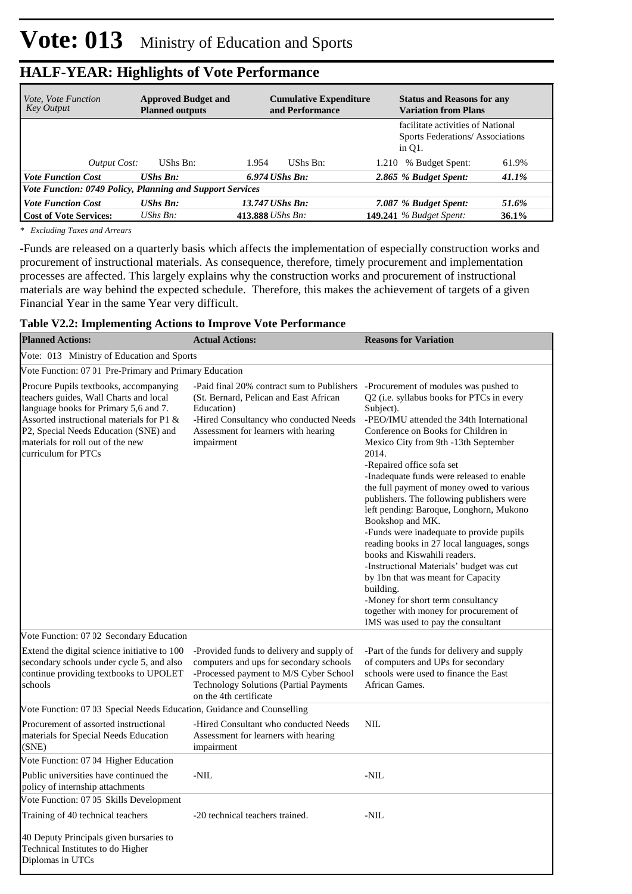| <i>Vote, Vote Function</i><br>Key Output | <b>Approved Budget and</b><br><b>Planned outputs</b>             | <b>Cumulative Expenditure</b><br>and Performance | <b>Status and Reasons for any</b><br><b>Variation from Plans</b>                  |  |  |  |  |  |  |
|------------------------------------------|------------------------------------------------------------------|--------------------------------------------------|-----------------------------------------------------------------------------------|--|--|--|--|--|--|
|                                          |                                                                  |                                                  | facilitate activities of National<br>Sports Federations/Associations<br>in $O1$ . |  |  |  |  |  |  |
| Output Cost:                             | UShs Bn:                                                         | 1.954<br>UShs Bn:                                | 61.9%<br>% Budget Spent:<br>1.210                                                 |  |  |  |  |  |  |
| <b>Vote Function Cost</b>                | $\mathbf{U}$ <i>Shs Bn:</i>                                      | $6.974$ UShs Bn:                                 | 2.865 % Budget Spent:<br>41.1%                                                    |  |  |  |  |  |  |
|                                          | <b>Vote Function: 0749 Policy, Planning and Support Services</b> |                                                  |                                                                                   |  |  |  |  |  |  |
| <b>Vote Function Cost</b>                | <b>UShs Bn:</b>                                                  | 13.747 UShs Bn:                                  | 7.087 % Budget Spent:<br>51.6%                                                    |  |  |  |  |  |  |
| <b>Cost of Vote Services:</b>            | $UShs Bn$ :                                                      | 413.888 UShs Bn:                                 | <b>149.241</b> % Budget Spent:<br>$36.1\%$                                        |  |  |  |  |  |  |

*\* Excluding Taxes and Arrears*

-Funds are released on a quarterly basis which affects the implementation of especially construction works and procurement of instructional materials. As consequence, therefore, timely procurement and implementation processes are affected. This largely explains why the construction works and procurement of instructional materials are way behind the expected schedule. Therefore, this makes the achievement of targets of a given Financial Year in the same Year very difficult.

|  | Table V2.2: Implementing Actions to Improve Vote Performance |  |  |
|--|--------------------------------------------------------------|--|--|
|  |                                                              |  |  |

| <b>Planned Actions:</b>                                                                                                                                                                                                                                                     | <b>Actual Actions:</b>                                                                                                                                                                                    | <b>Reasons for Variation</b>                                                                                                                                                                                                                                                                                                                                                                                                                                                                                                                                                                                                                                                                                                                                                                                         |
|-----------------------------------------------------------------------------------------------------------------------------------------------------------------------------------------------------------------------------------------------------------------------------|-----------------------------------------------------------------------------------------------------------------------------------------------------------------------------------------------------------|----------------------------------------------------------------------------------------------------------------------------------------------------------------------------------------------------------------------------------------------------------------------------------------------------------------------------------------------------------------------------------------------------------------------------------------------------------------------------------------------------------------------------------------------------------------------------------------------------------------------------------------------------------------------------------------------------------------------------------------------------------------------------------------------------------------------|
| Vote: 013 Ministry of Education and Sports                                                                                                                                                                                                                                  |                                                                                                                                                                                                           |                                                                                                                                                                                                                                                                                                                                                                                                                                                                                                                                                                                                                                                                                                                                                                                                                      |
| Vote Function: 07 01 Pre-Primary and Primary Education                                                                                                                                                                                                                      |                                                                                                                                                                                                           |                                                                                                                                                                                                                                                                                                                                                                                                                                                                                                                                                                                                                                                                                                                                                                                                                      |
| Procure Pupils textbooks, accompanying<br>teachers guides, Wall Charts and local<br>language books for Primary 5,6 and 7.<br>Assorted instructional materials for P1 &<br>P2, Special Needs Education (SNE) and<br>materials for roll out of the new<br>curriculum for PTCs | -Paid final 20% contract sum to Publishers<br>(St. Bernard, Pelican and East African<br>Education)<br>-Hired Consultancy who conducted Needs<br>Assessment for learners with hearing<br>impairment        | -Procurement of modules was pushed to<br>Q2 (i.e. syllabus books for PTCs in every<br>Subject).<br>-PEO/IMU attended the 34th International<br>Conference on Books for Children in<br>Mexico City from 9th -13th September<br>2014.<br>-Repaired office sofa set<br>-Inadequate funds were released to enable<br>the full payment of money owed to various<br>publishers. The following publishers were<br>left pending: Baroque, Longhorn, Mukono<br>Bookshop and MK.<br>-Funds were inadequate to provide pupils<br>reading books in 27 local languages, songs<br>books and Kiswahili readers.<br>-Instructional Materials' budget was cut<br>by 1bn that was meant for Capacity<br>building.<br>-Money for short term consultancy<br>together with money for procurement of<br>IMS was used to pay the consultant |
| Vote Function: 07 02 Secondary Education                                                                                                                                                                                                                                    |                                                                                                                                                                                                           |                                                                                                                                                                                                                                                                                                                                                                                                                                                                                                                                                                                                                                                                                                                                                                                                                      |
| Extend the digital science initiative to 100<br>secondary schools under cycle 5, and also<br>continue providing textbooks to UPOLET<br>schools                                                                                                                              | -Provided funds to delivery and supply of<br>computers and ups for secondary schools<br>-Processed payment to M/S Cyber School<br><b>Technology Solutions (Partial Payments</b><br>on the 4th certificate | -Part of the funds for delivery and supply<br>of computers and UPs for secondary<br>schools were used to finance the East<br>African Games.                                                                                                                                                                                                                                                                                                                                                                                                                                                                                                                                                                                                                                                                          |
| Vote Function: 07 03 Special Needs Education, Guidance and Counselling                                                                                                                                                                                                      |                                                                                                                                                                                                           |                                                                                                                                                                                                                                                                                                                                                                                                                                                                                                                                                                                                                                                                                                                                                                                                                      |
| Procurement of assorted instructional<br>materials for Special Needs Education<br>(SNE)                                                                                                                                                                                     | -Hired Consultant who conducted Needs<br>Assessment for learners with hearing<br>impairment                                                                                                               | $\text{NIL}$                                                                                                                                                                                                                                                                                                                                                                                                                                                                                                                                                                                                                                                                                                                                                                                                         |
| Vote Function: 07 04 Higher Education                                                                                                                                                                                                                                       |                                                                                                                                                                                                           |                                                                                                                                                                                                                                                                                                                                                                                                                                                                                                                                                                                                                                                                                                                                                                                                                      |
| Public universities have continued the<br>policy of internship attachments                                                                                                                                                                                                  | $-NIL$                                                                                                                                                                                                    | -NIL                                                                                                                                                                                                                                                                                                                                                                                                                                                                                                                                                                                                                                                                                                                                                                                                                 |
| Vote Function: 07 05 Skills Development                                                                                                                                                                                                                                     |                                                                                                                                                                                                           |                                                                                                                                                                                                                                                                                                                                                                                                                                                                                                                                                                                                                                                                                                                                                                                                                      |
| Training of 40 technical teachers                                                                                                                                                                                                                                           | -20 technical teachers trained.                                                                                                                                                                           | -NIL                                                                                                                                                                                                                                                                                                                                                                                                                                                                                                                                                                                                                                                                                                                                                                                                                 |
| 40 Deputy Principals given bursaries to<br>Technical Institutes to do Higher<br>Diplomas in UTCs                                                                                                                                                                            |                                                                                                                                                                                                           |                                                                                                                                                                                                                                                                                                                                                                                                                                                                                                                                                                                                                                                                                                                                                                                                                      |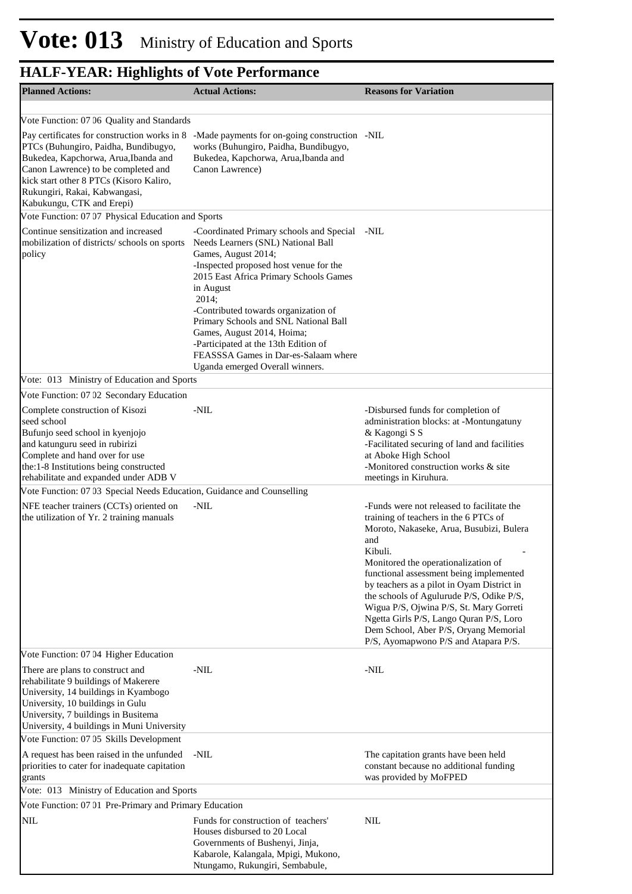| <b>Planned Actions:</b>                                                                                                                                                                                                                                                      | <b>Actual Actions:</b>                                                                                                                                                                                                                                                                                                                                                                                                                            | <b>Reasons for Variation</b>                                                                                                                                                                                                                                                                                                                                                                                                                                                                         |
|------------------------------------------------------------------------------------------------------------------------------------------------------------------------------------------------------------------------------------------------------------------------------|---------------------------------------------------------------------------------------------------------------------------------------------------------------------------------------------------------------------------------------------------------------------------------------------------------------------------------------------------------------------------------------------------------------------------------------------------|------------------------------------------------------------------------------------------------------------------------------------------------------------------------------------------------------------------------------------------------------------------------------------------------------------------------------------------------------------------------------------------------------------------------------------------------------------------------------------------------------|
|                                                                                                                                                                                                                                                                              |                                                                                                                                                                                                                                                                                                                                                                                                                                                   |                                                                                                                                                                                                                                                                                                                                                                                                                                                                                                      |
| Vote Function: 07 06 Quality and Standards                                                                                                                                                                                                                                   |                                                                                                                                                                                                                                                                                                                                                                                                                                                   |                                                                                                                                                                                                                                                                                                                                                                                                                                                                                                      |
| Pay certificates for construction works in 8<br>PTCs (Buhungiro, Paidha, Bundibugyo,<br>Bukedea, Kapchorwa, Arua, Ibanda and<br>Canon Lawrence) to be completed and<br>kick start other 8 PTCs (Kisoro Kaliro,<br>Rukungiri, Rakai, Kabwangasi,<br>Kabukungu, CTK and Erepi) | -Made payments for on-going construction -NIL<br>works (Buhungiro, Paidha, Bundibugyo,<br>Bukedea, Kapchorwa, Arua, Ibanda and<br>Canon Lawrence)                                                                                                                                                                                                                                                                                                 |                                                                                                                                                                                                                                                                                                                                                                                                                                                                                                      |
| Vote Function: 07 07 Physical Education and Sports                                                                                                                                                                                                                           |                                                                                                                                                                                                                                                                                                                                                                                                                                                   |                                                                                                                                                                                                                                                                                                                                                                                                                                                                                                      |
| Continue sensitization and increased<br>mobilization of districts/ schools on sports<br>policy                                                                                                                                                                               | -Coordinated Primary schools and Special<br>Needs Learners (SNL) National Ball<br>Games, August 2014;<br>-Inspected proposed host venue for the<br>2015 East Africa Primary Schools Games<br>in August<br>2014;<br>-Contributed towards organization of<br>Primary Schools and SNL National Ball<br>Games, August 2014, Hoima;<br>-Participated at the 13th Edition of<br>FEASSSA Games in Dar-es-Salaam where<br>Uganda emerged Overall winners. | -NIL                                                                                                                                                                                                                                                                                                                                                                                                                                                                                                 |
| Vote: 013 Ministry of Education and Sports                                                                                                                                                                                                                                   |                                                                                                                                                                                                                                                                                                                                                                                                                                                   |                                                                                                                                                                                                                                                                                                                                                                                                                                                                                                      |
| Vote Function: 07 02 Secondary Education                                                                                                                                                                                                                                     |                                                                                                                                                                                                                                                                                                                                                                                                                                                   |                                                                                                                                                                                                                                                                                                                                                                                                                                                                                                      |
| Complete construction of Kisozi<br>seed school<br>Bufunjo seed school in kyenjojo<br>and katunguru seed in rubirizi<br>Complete and hand over for use<br>the:1-8 Institutions being constructed<br>rehabilitate and expanded under ADB V                                     | -NIL                                                                                                                                                                                                                                                                                                                                                                                                                                              | -Disbursed funds for completion of<br>administration blocks: at -Montungatuny<br>& Kagongi S S<br>-Facilitated securing of land and facilities<br>at Aboke High School<br>-Monitored construction works & site<br>meetings in Kiruhura.                                                                                                                                                                                                                                                              |
| Vote Function: 07 03 Special Needs Education, Guidance and Counselling                                                                                                                                                                                                       |                                                                                                                                                                                                                                                                                                                                                                                                                                                   |                                                                                                                                                                                                                                                                                                                                                                                                                                                                                                      |
| NFE teacher trainers (CCTs) oriented on<br>the utilization of Yr. 2 training manuals                                                                                                                                                                                         | -NIL                                                                                                                                                                                                                                                                                                                                                                                                                                              | -Funds were not released to facilitate the<br>training of teachers in the 6 PTCs of<br>Moroto, Nakaseke, Arua, Busubizi, Bulera<br>and<br>Kibuli.<br>Monitored the operationalization of<br>functional assessment being implemented<br>by teachers as a pilot in Oyam District in<br>the schools of Agulurude P/S, Odike P/S,<br>Wigua P/S, Ojwina P/S, St. Mary Gorreti<br>Ngetta Girls P/S, Lango Quran P/S, Loro<br>Dem School, Aber P/S, Oryang Memorial<br>P/S, Ayomapwono P/S and Atapara P/S. |
| Vote Function: 07 04 Higher Education                                                                                                                                                                                                                                        |                                                                                                                                                                                                                                                                                                                                                                                                                                                   |                                                                                                                                                                                                                                                                                                                                                                                                                                                                                                      |
| There are plans to construct and<br>rehabilitate 9 buildings of Makerere<br>University, 14 buildings in Kyambogo<br>University, 10 buildings in Gulu<br>University, 7 buildings in Busitema<br>University, 4 buildings in Muni University                                    | -NIL                                                                                                                                                                                                                                                                                                                                                                                                                                              | -NIL                                                                                                                                                                                                                                                                                                                                                                                                                                                                                                 |
| Vote Function: 07 05 Skills Development                                                                                                                                                                                                                                      |                                                                                                                                                                                                                                                                                                                                                                                                                                                   |                                                                                                                                                                                                                                                                                                                                                                                                                                                                                                      |
| A request has been raised in the unfunded<br>priorities to cater for inadequate capitation<br>grants                                                                                                                                                                         | -NIL                                                                                                                                                                                                                                                                                                                                                                                                                                              | The capitation grants have been held<br>constant because no additional funding<br>was provided by MoFPED                                                                                                                                                                                                                                                                                                                                                                                             |
| Vote: 013 Ministry of Education and Sports                                                                                                                                                                                                                                   |                                                                                                                                                                                                                                                                                                                                                                                                                                                   |                                                                                                                                                                                                                                                                                                                                                                                                                                                                                                      |
| Vote Function: 07 01 Pre-Primary and Primary Education                                                                                                                                                                                                                       |                                                                                                                                                                                                                                                                                                                                                                                                                                                   |                                                                                                                                                                                                                                                                                                                                                                                                                                                                                                      |
| <b>NIL</b>                                                                                                                                                                                                                                                                   | Funds for construction of teachers'<br>Houses disbursed to 20 Local<br>Governments of Bushenyi, Jinja,<br>Kabarole, Kalangala, Mpigi, Mukono,<br>Ntungamo, Rukungiri, Sembabule,                                                                                                                                                                                                                                                                  | <b>NIL</b>                                                                                                                                                                                                                                                                                                                                                                                                                                                                                           |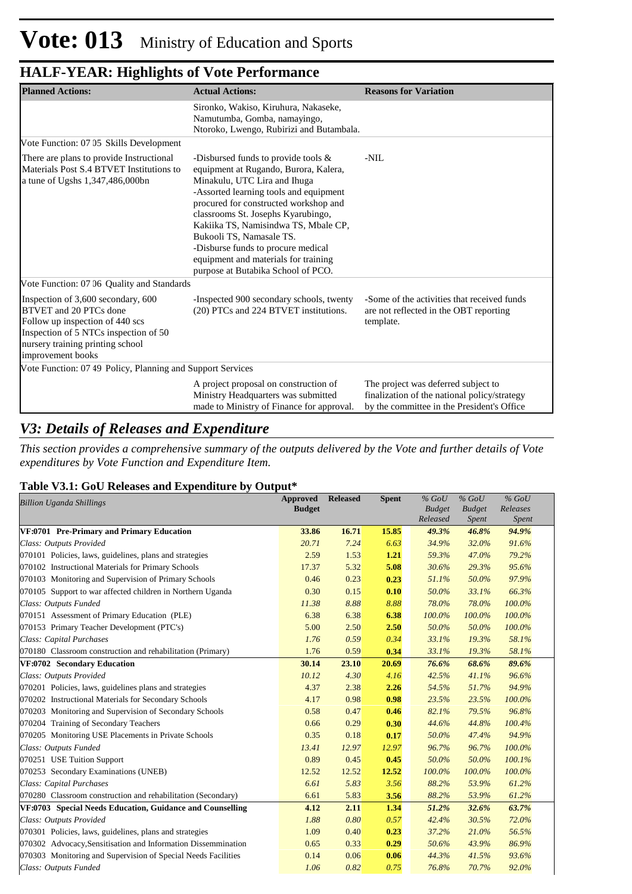| <b>Planned Actions:</b>                                                                                                                                                                           | <b>Actual Actions:</b>                                                                                                                                                                                                                                                                                                                                                                                                           | <b>Reasons for Variation</b>                                                                                                      |
|---------------------------------------------------------------------------------------------------------------------------------------------------------------------------------------------------|----------------------------------------------------------------------------------------------------------------------------------------------------------------------------------------------------------------------------------------------------------------------------------------------------------------------------------------------------------------------------------------------------------------------------------|-----------------------------------------------------------------------------------------------------------------------------------|
|                                                                                                                                                                                                   | Sironko, Wakiso, Kiruhura, Nakaseke,<br>Namutumba, Gomba, namayingo,<br>Ntoroko, Lwengo, Rubirizi and Butambala.                                                                                                                                                                                                                                                                                                                 |                                                                                                                                   |
| Vote Function: 07 05 Skills Development                                                                                                                                                           |                                                                                                                                                                                                                                                                                                                                                                                                                                  |                                                                                                                                   |
| There are plans to provide Instructional<br>Materials Post S.4 BTVET Institutions to<br>a tune of Ugshs 1,347,486,000bn                                                                           | -Disbursed funds to provide tools $\&$<br>equipment at Rugando, Burora, Kalera,<br>Minakulu, UTC Lira and Ihuga<br>-Assorted learning tools and equipment<br>procured for constructed workshop and<br>classrooms St. Josephs Kyarubingo,<br>Kakiika TS, Namisindwa TS, Mbale CP,<br>Bukooli TS, Namasale TS.<br>-Disburse funds to procure medical<br>equipment and materials for training<br>purpose at Butabika School of PCO. | $-NIL$                                                                                                                            |
| Vote Function: 07 06 Quality and Standards                                                                                                                                                        |                                                                                                                                                                                                                                                                                                                                                                                                                                  |                                                                                                                                   |
| Inspection of 3,600 secondary, 600<br>BTVET and 20 PTCs done<br>Follow up inspection of 440 scs<br>Inspection of 5 NTCs inspection of 50<br>nursery training printing school<br>improvement books | -Inspected 900 secondary schools, twenty<br>(20) PTCs and 224 BTVET institutions.                                                                                                                                                                                                                                                                                                                                                | -Some of the activities that received funds<br>are not reflected in the OBT reporting<br>template.                                |
| Vote Function: 07 49 Policy, Planning and Support Services                                                                                                                                        |                                                                                                                                                                                                                                                                                                                                                                                                                                  |                                                                                                                                   |
|                                                                                                                                                                                                   | A project proposal on construction of<br>Ministry Headquarters was submitted<br>made to Ministry of Finance for approval.                                                                                                                                                                                                                                                                                                        | The project was deferred subject to<br>finalization of the national policy/strategy<br>by the committee in the President's Office |

#### *V3: Details of Releases and Expenditure*

*This section provides a comprehensive summary of the outputs delivered by the Vote and further details of Vote expenditures by Vote Function and Expenditure Item.*

#### **Table V3.1: GoU Releases and Expenditure by Output\***

| <b>Billion Uganda Shillings</b>                               | <b>Approved</b><br><b>Budget</b> | <b>Released</b> | <b>Spent</b> | $%$ GoU<br><b>Budget</b> | $%$ GoU<br><b>Budget</b> | $%$ GoU<br>Releases |
|---------------------------------------------------------------|----------------------------------|-----------------|--------------|--------------------------|--------------------------|---------------------|
|                                                               |                                  |                 |              | Released                 | <i>Spent</i>             | Spent               |
| VF:0701 Pre-Primary and Primary Education                     | 33.86                            | 16.71           | 15.85        | 49.3%                    | 46.8%                    | 94.9%               |
| Class: Outputs Provided                                       | 20.71                            | 7.24            | 6.63         | 34.9%                    | 32.0%                    | 91.6%               |
| 070101 Policies, laws, guidelines, plans and strategies       | 2.59                             | 1.53            | 1.21         | 59.3%                    | 47.0%                    | 79.2%               |
| 070102 Instructional Materials for Primary Schools            | 17.37                            | 5.32            | 5.08         | 30.6%                    | 29.3%                    | 95.6%               |
| 070103 Monitoring and Supervision of Primary Schools          | 0.46                             | 0.23            | 0.23         | 51.1%                    | 50.0%                    | 97.9%               |
| 070105 Support to war affected children in Northern Uganda    | 0.30                             | 0.15            | 0.10         | 50.0%                    | 33.1%                    | 66.3%               |
| Class: Outputs Funded                                         | 11.38                            | 8.88            | 8.88         | 78.0%                    | 78.0%                    | 100.0%              |
| 070151 Assessment of Primary Education (PLE)                  | 6.38                             | 6.38            | 6.38         | 100.0%                   | 100.0%                   | 100.0%              |
| 070153 Primary Teacher Development (PTC's)                    | 5.00                             | 2.50            | 2.50         | 50.0%                    | 50.0%                    | 100.0%              |
| Class: Capital Purchases                                      | 1.76                             | 0.59            | 0.34         | 33.1%                    | 19.3%                    | 58.1%               |
| 070180 Classroom construction and rehabilitation (Primary)    | 1.76                             | 0.59            | 0.34         | 33.1%                    | 19.3%                    | 58.1%               |
| VF:0702 Secondary Education                                   | 30.14                            | 23.10           | 20.69        | 76.6%                    | 68.6%                    | 89.6%               |
| Class: Outputs Provided                                       | 10.12                            | 4.30            | 4.16         | 42.5%                    | 41.1%                    | 96.6%               |
| 070201 Policies, laws, guidelines plans and strategies        | 4.37                             | 2.38            | 2.26         | 54.5%                    | 51.7%                    | 94.9%               |
| 070202 Instructional Materials for Secondary Schools          | 4.17                             | 0.98            | 0.98         | 23.5%                    | 23.5%                    | 100.0%              |
| 070203 Monitoring and Supervision of Secondary Schools        | 0.58                             | 0.47            | 0.46         | 82.1%                    | 79.5%                    | 96.8%               |
| 070204 Training of Secondary Teachers                         | 0.66                             | 0.29            | 0.30         | 44.6%                    | 44.8%                    | 100.4%              |
| 070205 Monitoring USE Placements in Private Schools           | 0.35                             | 0.18            | 0.17         | 50.0%                    | 47.4%                    | 94.9%               |
| Class: Outputs Funded                                         | 13.41                            | 12.97           | 12.97        | 96.7%                    | 96.7%                    | 100.0%              |
| 070251 USE Tuition Support                                    | 0.89                             | 0.45            | 0.45         | 50.0%                    | 50.0%                    | 100.1%              |
| 070253 Secondary Examinations (UNEB)                          | 12.52                            | 12.52           | 12.52        | 100.0%                   | 100.0%                   | 100.0%              |
| Class: Capital Purchases                                      | 6.61                             | 5.83            | 3.56         | 88.2%                    | 53.9%                    | 61.2%               |
| 070280 Classroom construction and rehabilitation (Secondary)  | 6.61                             | 5.83            | 3.56         | 88.2%                    | 53.9%                    | 61.2%               |
| VF:0703 Special Needs Education, Guidance and Counselling     | 4.12                             | 2.11            | 1.34         | 51.2%                    | 32.6%                    | 63.7%               |
| Class: Outputs Provided                                       | 1.88                             | 0.80            | 0.57         | 42.4%                    | 30.5%                    | 72.0%               |
| 070301 Policies, laws, guidelines, plans and strategies       | 1.09                             | 0.40            | 0.23         | 37.2%                    | 21.0%                    | 56.5%               |
| 070302 Advocacy, Sensitisation and Information Dissemmination | 0.65                             | 0.33            | 0.29         | 50.6%                    | 43.9%                    | 86.9%               |
| 070303 Monitoring and Supervision of Special Needs Facilities | 0.14                             | 0.06            | 0.06         | 44.3%                    | 41.5%                    | 93.6%               |
| Class: Outputs Funded                                         | 1.06                             | 0.82            | 0.75         | 76.8%                    | 70.7%                    | 92.0%               |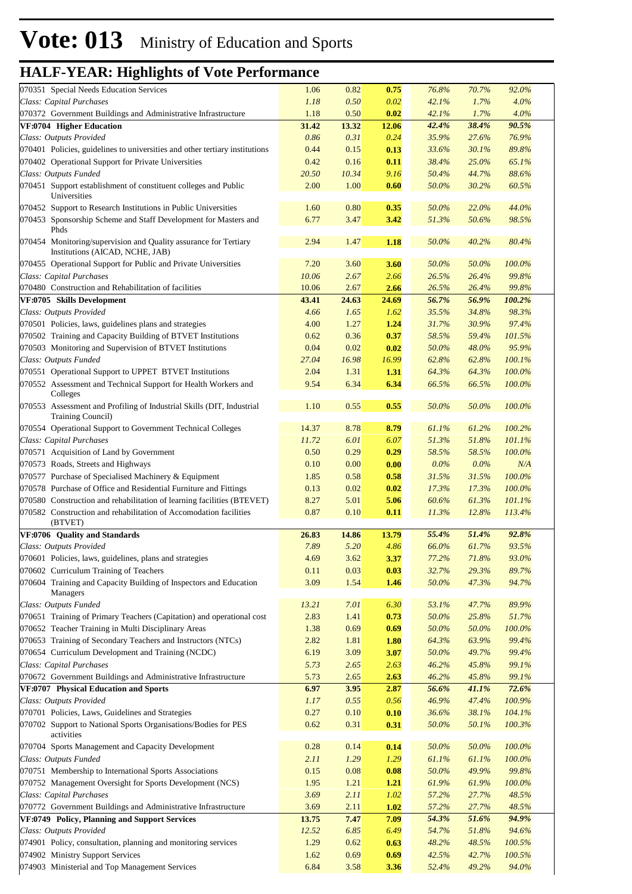| 070351 Special Needs Education Services                                                                            | 1.06         | 0.82         | 0.75         | 76.8%          | 70.7%          | 92.0%            |  |
|--------------------------------------------------------------------------------------------------------------------|--------------|--------------|--------------|----------------|----------------|------------------|--|
| Class: Capital Purchases                                                                                           | 1.18         | 0.50         | 0.02         | 42.1%          | 1.7%           | 4.0%             |  |
| 070372 Government Buildings and Administrative Infrastructure                                                      | 1.18         | 0.50         | 0.02         | 42.1%          | 1.7%           | 4.0%             |  |
| VF:0704 Higher Education                                                                                           | 31.42        | 13.32        | 12.06        | 42.4%          | 38.4%          | 90.5%            |  |
| Class: Outputs Provided                                                                                            | 0.86         | 0.31         | 0.24         | 35.9%          | 27.6%          | 76.9%            |  |
| 070401 Policies, guidelines to universities and other tertiary institutions                                        | 0.44         | 0.15         | 0.13         | 33.6%          | 30.1%          | 89.8%            |  |
| 070402 Operational Support for Private Universities                                                                | 0.42         | 0.16         | 0.11         | 38.4%          | 25.0%          | 65.1%            |  |
| Class: Outputs Funded                                                                                              | 20.50        | 10.34        | 9.16         | 50.4%          | 44.7%          | 88.6%            |  |
| 070451 Support establishment of constituent colleges and Public<br>Universities                                    | 2.00         | 1.00         | 0.60         | 50.0%          | 30.2%          | 60.5%            |  |
| 070452 Support to Research Institutions in Public Universities                                                     | 1.60         | 0.80         | 0.35         | 50.0%          | 22.0%          | 44.0%            |  |
| 070453 Sponsorship Scheme and Staff Development for Masters and<br>Phds                                            | 6.77         | 3.47         | 3.42         | 51.3%          | 50.6%          | 98.5%            |  |
| 070454 Monitoring/supervision and Quality assurance for Tertiary<br>Institutions (AICAD, NCHE, JAB)                | 2.94         | 1.47         | 1.18         | 50.0%          | 40.2%          | 80.4%            |  |
| 070455 Operational Support for Public and Private Universities                                                     | 7.20         | 3.60         | 3.60         | 50.0%          | 50.0%          | 100.0%           |  |
| Class: Capital Purchases                                                                                           | 10.06        | 2.67         | 2.66         | 26.5%          | 26.4%          | 99.8%            |  |
| 070480 Construction and Rehabilitation of facilities                                                               | 10.06        | 2.67         | 2.66         | 26.5%          | 26.4%          | 99.8%            |  |
| VF:0705 Skills Development                                                                                         | 43.41        | 24.63        | 24.69        | 56.7%          | 56.9%          | 100.2%           |  |
| Class: Outputs Provided                                                                                            | 4.66         | 1.65         | 1.62         | 35.5%          | 34.8%          | 98.3%            |  |
| 070501 Policies, laws, guidelines plans and strategies                                                             | 4.00         | 1.27         | 1.24         | 31.7%          | 30.9%          | 97.4%            |  |
| 070502 Training and Capacity Building of BTVET Institutions                                                        | 0.62         | 0.36         | 0.37         | 58.5%          | 59.4%          | 101.5%           |  |
| 070503 Monitoring and Supervision of BTVET Institutions                                                            | 0.04         | 0.02         | 0.02         | 50.0%          | 48.0%          | 95.9%            |  |
| Class: Outputs Funded                                                                                              | 27.04        | 16.98        | 16.99        | 62.8%          | 62.8%          | 100.1%           |  |
| 070551 Operational Support to UPPET BTVET Institutions                                                             | 2.04         | 1.31         | 1.31         | 64.3%          | 64.3%          | 100.0%           |  |
| 070552 Assessment and Technical Support for Health Workers and<br>Colleges                                         | 9.54         | 6.34         | 6.34         | 66.5%          | 66.5%          | 100.0%           |  |
| 070553 Assessment and Profiling of Industrial Skills (DIT, Industrial<br>Training Council)                         | 1.10         | 0.55         | 0.55         | 50.0%          | 50.0%          | 100.0%           |  |
| 070554 Operational Support to Government Technical Colleges                                                        | 14.37        | 8.78         | 8.79         | 61.1%          | 61.2%          | 100.2%           |  |
| Class: Capital Purchases                                                                                           | 11.72        | 6.01         | 6.07         | 51.3%          | 51.8%          | 101.1%           |  |
| 070571 Acquisition of Land by Government                                                                           | 0.50         | 0.29         | 0.29         | 58.5%          | 58.5%          | 100.0%           |  |
| 070573 Roads, Streets and Highways                                                                                 | 0.10         | 0.00         | 0.00         | $0.0\%$        | $0.0\%$        | N/A              |  |
| 070577 Purchase of Specialised Machinery & Equipment                                                               | 1.85         | 0.58         | 0.58         | 31.5%          | 31.5%          | 100.0%           |  |
| 070578 Purchase of Office and Residential Furniture and Fittings                                                   | 0.13         | 0.02         | 0.02         | 17.3%          | 17.3%          | 100.0%           |  |
| 070580 Construction and rehabilitation of learning facilities (BTEVET)                                             | 8.27         | 5.01         | 5.06         | 60.6%          | 61.3%          | 101.1%           |  |
| 070582 Construction and rehabilitation of Accomodation facilities                                                  | 0.87         | 0.10         | 0.11         | 11.3%          | 12.8%          | 113.4%           |  |
| (BTVET)                                                                                                            |              |              |              |                |                |                  |  |
| VF:0706 Quality and Standards                                                                                      | 26.83        | 14.86        | 13.79        | 55.4%          | 51.4%          | 92.8%            |  |
| Class: Outputs Provided                                                                                            | 7.89         | 5.20         | 4.86         | 66.0%          | 61.7%          | 93.5%            |  |
| 070601 Policies, laws, guidelines, plans and strategies                                                            | 4.69         | 3.62         | 3.37         | 77.2%          | 71.8%          | 93.0%            |  |
|                                                                                                                    |              |              |              |                |                |                  |  |
|                                                                                                                    |              |              |              |                |                |                  |  |
| 070602 Curriculum Training of Teachers<br>070604 Training and Capacity Building of Inspectors and Education        | 0.11<br>3.09 | 0.03<br>1.54 | 0.03<br>1.46 | 32.7%<br>50.0% | 29.3%<br>47.3% | 89.7%<br>94.7%   |  |
| Managers                                                                                                           |              |              |              | 53.1%          |                |                  |  |
| Class: Outputs Funded                                                                                              | 13.21        | 7.01         | 6.30         |                | 47.7%          | 89.9%            |  |
| 070651 Training of Primary Teachers (Capitation) and operational cost                                              | 2.83         | 1.41         | 0.73         | 50.0%          | 25.8%          | 51.7%            |  |
| 070652 Teacher Training in Multi Disciplinary Areas                                                                | 1.38         | 0.69         | 0.69         | 50.0%          | 50.0%          | 100.0%           |  |
| 070653 Training of Secondary Teachers and Instructors (NTCs)                                                       | 2.82         | 1.81         | 1.80         | 64.3%          | 63.9%          | 99.4%            |  |
| 070654 Curriculum Development and Training (NCDC)                                                                  | 6.19         | 3.09         | 3.07         | 50.0%          | 49.7%          | 99.4%            |  |
| Class: Capital Purchases                                                                                           | 5.73         | 2.65         | 2.63         | 46.2%          | 45.8%          | 99.1%            |  |
| 070672 Government Buildings and Administrative Infrastructure                                                      | 5.73         | 2.65         | 2.63         | 46.2%          | 45.8%          | 99.1%            |  |
| VF:0707 Physical Education and Sports                                                                              | 6.97         | 3.95         | 2.87         | 56.6%          | 41.1%          | 72.6%            |  |
| Class: Outputs Provided                                                                                            | 1.17         | 0.55         | 0.56         | 46.9%          | 47.4%          | 100.9%           |  |
| 070701 Policies, Laws, Guidelines and Strategies<br>070702 Support to National Sports Organisations/Bodies for PES | 0.27<br>0.62 | 0.10<br>0.31 | 0.10<br>0.31 | 36.6%<br>50.0% | 38.1%<br>50.1% | 104.1%<br>100.3% |  |
| activities                                                                                                         |              |              |              |                |                |                  |  |
| 070704 Sports Management and Capacity Development                                                                  | 0.28         | 0.14         | 0.14         | 50.0%          | 50.0%          | 100.0%           |  |
| Class: Outputs Funded                                                                                              | 2.11         | 1.29         | 1.29         | 61.1%          | 61.1%          | 100.0%           |  |
| 070751 Membership to International Sports Associations                                                             | 0.15         | 0.08         | 0.08         | 50.0%          | 49.9%          | 99.8%            |  |
| 070752 Management Oversight for Sports Development (NCS)                                                           | 1.95         | 1.21         | 1.21         | 61.9%          | 61.9%          | 100.0%           |  |
| Class: Capital Purchases                                                                                           | 3.69         | 2.11         | 1.02         | 57.2%          | 27.7%          | 48.5%            |  |
| 070772 Government Buildings and Administrative Infrastructure                                                      | 3.69         | 2.11         | 1.02         | 57.2%          | 27.7%          | 48.5%            |  |
| VF:0749 Policy, Planning and Support Services                                                                      | 13.75        | 7.47         | 7.09         | 54.3%          | 51.6%          | 94.9%            |  |
| Class: Outputs Provided                                                                                            | 12.52        | 6.85         | 6.49         | 54.7%          | 51.8%          | 94.6%            |  |
| 074901 Policy, consultation, planning and monitoring services                                                      | 1.29         | 0.62         | 0.63         | 48.2%          | 48.5%          | 100.5%           |  |
| 074902 Ministry Support Services<br>074903 Ministerial and Top Management Services                                 | 1.62<br>6.84 | 0.69<br>3.58 | 0.69<br>3.36 | 42.5%<br>52.4% | 42.7%<br>49.2% | 100.5%<br>94.0%  |  |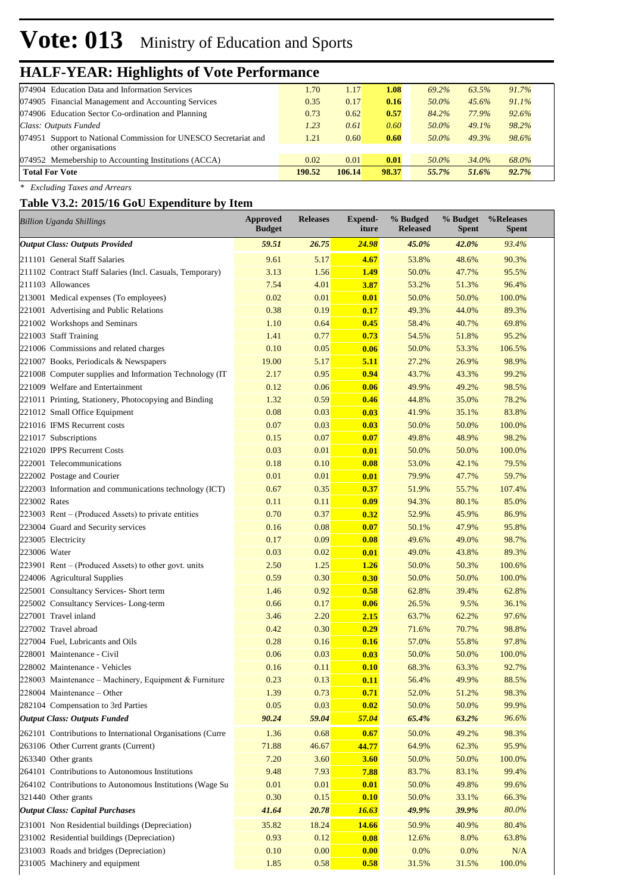# **Vote: 013** Ministry of Education and Sports

### **HALF-YEAR: Highlights of Vote Performance**

| 074904 Education Data and Information Services                   | 1.70   | 1.17   | 1.08  | 69.2% | 63.5% | $91.7\%$ |  |
|------------------------------------------------------------------|--------|--------|-------|-------|-------|----------|--|
| 074905 Financial Management and Accounting Services              | 0.35   | 0.17   | 0.16  | 50.0% | 45.6% | $91.1\%$ |  |
| 074906 Education Sector Co-ordination and Planning               | 0.73   | 0.62   | 0.57  | 84.2% | 77.9% | 92.6%    |  |
| Class: Outputs Funded                                            | 1.23   | 0.61   | 0.60  | 50.0% | 49.1% | 98.2%    |  |
| 074951 Support to National Commission for UNESCO Secretariat and | 1.21   | 0.60   | 0.60  | 50.0% | 49.3% | 98.6%    |  |
|                                                                  |        |        |       |       |       |          |  |
| 074952 Memebership to Accounting Institutions (ACCA)             | 0.02   | 0.01   | 0.01  | 50.0% | 34.0% | 68.0%    |  |
| <b>Total For Vote</b>                                            | 190.52 | 106.14 | 98.37 | 55.7% | 51.6% | 92.7%    |  |
| other organisations                                              |        |        |       |       |       |          |  |

*\* Excluding Taxes and Arrears*

#### **Table V3.2: 2015/16 GoU Expenditure by Item**

|              | <b>Billion Uganda Shillings</b>                            | <b>Approved</b><br><b>Budget</b> | <b>Releases</b> | Expend-<br>iture | % Budged<br><b>Released</b> | % Budget<br><b>Spent</b> | %Releases<br><b>Spent</b> |
|--------------|------------------------------------------------------------|----------------------------------|-----------------|------------------|-----------------------------|--------------------------|---------------------------|
|              | <b>Output Class: Outputs Provided</b>                      | 59.51                            | 26.75           | <b>24.98</b>     | 45.0%                       | 42.0%                    | 93.4%                     |
|              | 211101 General Staff Salaries                              | 9.61                             | 5.17            | 4.67             | 53.8%                       | 48.6%                    | 90.3%                     |
|              | 211102 Contract Staff Salaries (Incl. Casuals, Temporary)  | 3.13                             | 1.56            | 1.49             | 50.0%                       | 47.7%                    | 95.5%                     |
|              | 211103 Allowances                                          | 7.54                             | 4.01            | 3.87             | 53.2%                       | 51.3%                    | 96.4%                     |
|              | 213001 Medical expenses (To employees)                     | 0.02                             | 0.01            | 0.01             | 50.0%                       | 50.0%                    | 100.0%                    |
|              | 221001 Advertising and Public Relations                    | 0.38                             | 0.19            | 0.17             | 49.3%                       | 44.0%                    | 89.3%                     |
|              | 221002 Workshops and Seminars                              | 1.10                             | 0.64            | 0.45             | 58.4%                       | 40.7%                    | 69.8%                     |
|              | 221003 Staff Training                                      | 1.41                             | 0.77            | 0.73             | 54.5%                       | 51.8%                    | 95.2%                     |
|              | 221006 Commissions and related charges                     | 0.10                             | 0.05            | 0.06             | 50.0%                       | 53.3%                    | 106.5%                    |
|              | 221007 Books, Periodicals & Newspapers                     | 19.00                            | 5.17            | 5.11             | 27.2%                       | 26.9%                    | 98.9%                     |
|              | 221008 Computer supplies and Information Technology (IT    | 2.17                             | 0.95            | 0.94             | 43.7%                       | 43.3%                    | 99.2%                     |
|              | 221009 Welfare and Entertainment                           | 0.12                             | 0.06            | 0.06             | 49.9%                       | 49.2%                    | 98.5%                     |
|              | 221011 Printing, Stationery, Photocopying and Binding      | 1.32                             | 0.59            | 0.46             | 44.8%                       | 35.0%                    | 78.2%                     |
|              | 221012 Small Office Equipment                              | 0.08                             | 0.03            | 0.03             | 41.9%                       | 35.1%                    | 83.8%                     |
|              | 221016 IFMS Recurrent costs                                | 0.07                             | 0.03            | 0.03             | 50.0%                       | 50.0%                    | 100.0%                    |
|              | 221017 Subscriptions                                       | 0.15                             | 0.07            | 0.07             | 49.8%                       | 48.9%                    | 98.2%                     |
|              | 221020 IPPS Recurrent Costs                                | 0.03                             | 0.01            | 0.01             | 50.0%                       | 50.0%                    | 100.0%                    |
|              | 222001 Telecommunications                                  | 0.18                             | 0.10            | 0.08             | 53.0%                       | 42.1%                    | 79.5%                     |
|              | 222002 Postage and Courier                                 | 0.01                             | 0.01            | 0.01             | 79.9%                       | 47.7%                    | 59.7%                     |
|              | 222003 Information and communications technology (ICT)     | 0.67                             | 0.35            | 0.37             | 51.9%                       | 55.7%                    | 107.4%                    |
| 223002 Rates |                                                            | 0.11                             | 0.11            | 0.09             | 94.3%                       | 80.1%                    | 85.0%                     |
|              | $223003$ Rent – (Produced Assets) to private entities      | 0.70                             | 0.37            | 0.32             | 52.9%                       | 45.9%                    | 86.9%                     |
|              | 223004 Guard and Security services                         | 0.16                             | 0.08            | 0.07             | 50.1%                       | 47.9%                    | 95.8%                     |
|              | 223005 Electricity                                         | 0.17                             | 0.09            | 0.08             | 49.6%                       | 49.0%                    | 98.7%                     |
| 223006 Water |                                                            | 0.03                             | 0.02            | 0.01             | 49.0%                       | 43.8%                    | 89.3%                     |
|              | $223901$ Rent – (Produced Assets) to other govt. units     | 2.50                             | 1.25            | 1.26             | 50.0%                       | 50.3%                    | 100.6%                    |
|              | 224006 Agricultural Supplies                               | 0.59                             | 0.30            | 0.30             | 50.0%                       | 50.0%                    | 100.0%                    |
|              | 225001 Consultancy Services- Short term                    | 1.46                             | 0.92            | 0.58             | 62.8%                       | 39.4%                    | 62.8%                     |
|              | 225002 Consultancy Services-Long-term                      | 0.66                             | 0.17            | 0.06             | 26.5%                       | 9.5%                     | 36.1%                     |
|              | 227001 Travel inland                                       | 3.46                             | 2.20            | 2.15             | 63.7%                       | 62.2%                    | 97.6%                     |
|              | 227002 Travel abroad                                       | 0.42                             | 0.30            | 0.29             | 71.6%                       | 70.7%                    | 98.8%                     |
|              | 227004 Fuel, Lubricants and Oils                           | 0.28                             | 0.16            | 0.16             | 57.0%                       | 55.8%                    | 97.8%                     |
|              | 228001 Maintenance - Civil                                 | 0.06                             | 0.03            | 0.03             | 50.0%                       | 50.0%                    | 100.0%                    |
|              | 228002 Maintenance - Vehicles                              | 0.16                             | 0.11            | 0.10             | 68.3%                       | 63.3%                    | 92.7%                     |
|              | 228003 Maintenance – Machinery, Equipment & Furniture      | 0.23                             | 0.13            | 0.11             | 56.4%                       | 49.9%                    | 88.5%                     |
|              | 228004 Maintenance - Other                                 | 1.39                             | 0.73            | 0.71             | 52.0%                       | 51.2%                    | 98.3%                     |
|              | 282104 Compensation to 3rd Parties                         | 0.05                             | 0.03            | 0.02             | 50.0%                       | 50.0%                    | 99.9%                     |
|              | <b>Output Class: Outputs Funded</b>                        | 90.24                            | 59.04           | 57.04            | 65.4%                       | 63.2%                    | 96.6%                     |
|              | 262101 Contributions to International Organisations (Curre | 1.36                             | 0.68            | 0.67             | 50.0%                       | 49.2%                    | 98.3%                     |
|              | 263106 Other Current grants (Current)                      | 71.88                            | 46.67           | 44.77            | 64.9%                       | 62.3%                    | 95.9%                     |
|              | 263340 Other grants                                        | 7.20                             | 3.60            | <b>3.60</b>      | 50.0%                       | 50.0%                    | 100.0%                    |
|              | 264101 Contributions to Autonomous Institutions            | 9.48                             | 7.93            | 7.88             | 83.7%                       | 83.1%                    | 99.4%                     |
|              | 264102 Contributions to Autonomous Institutions (Wage Su   | 0.01                             | 0.01            | 0.01             | 50.0%                       | 49.8%                    | 99.6%                     |
|              | 321440 Other grants                                        | 0.30                             | 0.15            | 0.10             | 50.0%                       | 33.1%                    | 66.3%                     |
|              | <b>Output Class: Capital Purchases</b>                     | 41.64                            | 20.78           | 16.63            | 49.9%                       | 39.9%                    | 80.0%                     |
|              | 231001 Non Residential buildings (Depreciation)            | 35.82                            | 18.24           | 14.66            | 50.9%                       | 40.9%                    | 80.4%                     |
|              | 231002 Residential buildings (Depreciation)                | 0.93                             | 0.12            | 0.08             | 12.6%                       | 8.0%                     | 63.8%                     |
|              | 231003 Roads and bridges (Depreciation)                    | 0.10                             | 0.00            | 0.00             | 0.0%                        | 0.0%                     | $\rm N/A$                 |
|              | 231005 Machinery and equipment                             | 1.85                             | 0.58            | 0.58             | 31.5%                       | 31.5%                    | 100.0%                    |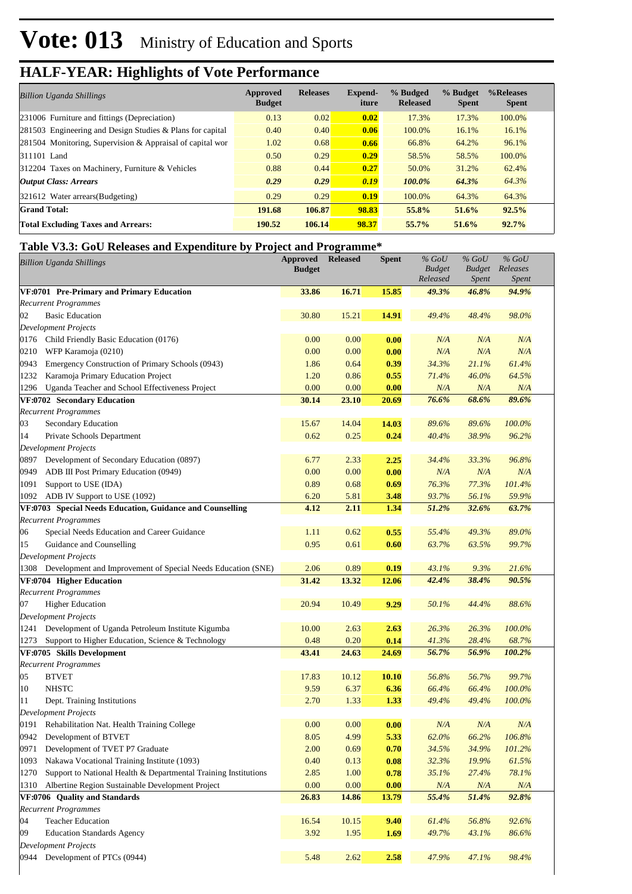| <b>Billion Uganda Shillings</b>                           | Approved<br><b>Budget</b> | <b>Releases</b> | Expend-<br>iture | % Budged<br><b>Released</b> | % Budget<br><b>Spent</b> | %Releases<br><b>Spent</b> |
|-----------------------------------------------------------|---------------------------|-----------------|------------------|-----------------------------|--------------------------|---------------------------|
| 231006 Furniture and fittings (Depreciation)              | 0.13                      | 0.02            | 0.02             | 17.3%                       | 17.3%                    | 100.0%                    |
| 281503 Engineering and Design Studies & Plans for capital | 0.40                      | 0.40            | 0.06             | 100.0%                      | 16.1%                    | 16.1%                     |
| 281504 Monitoring, Supervision & Appraisal of capital wor | 1.02                      | 0.68            | 0.66             | 66.8%                       | 64.2%                    | 96.1%                     |
| 311101 Land                                               | 0.50                      | 0.29            | 0.29             | 58.5%                       | 58.5%                    | 100.0%                    |
| 312204 Taxes on Machinery, Furniture & Vehicles           | 0.88                      | 0.44            | 0.27             | 50.0%                       | 31.2%                    | 62.4%                     |
| <b>Output Class: Arrears</b>                              | 0.29                      | 0.29            | 0.19             | $100.0\%$                   | 64.3%                    | 64.3%                     |
| 321612 Water arrears (Budgeting)                          | 0.29                      | 0.29            | 0.19             | 100.0%                      | 64.3%                    | 64.3%                     |
| <b>Grand Total:</b>                                       | 191.68                    | 106.87          | 98.83            | 55.8%                       | 51.6%                    | 92.5%                     |
| <b>Total Excluding Taxes and Arrears:</b>                 | 190.52                    | 106.14          | 98.37            | 55.7%                       | 51.6%                    | 92.7%                     |

#### **Table V3.3: GoU Releases and Expenditure by Project and Programme\***

|      | <b>Billion Uganda Shillings</b>                                   | <b>Approved</b><br><b>Budget</b> | <b>Released</b> | <b>Spent</b> | $%$ GoU<br><b>Budget</b><br>Released | $%$ GoU<br><b>Budget</b><br><i>Spent</i> | $%$ GoU<br>Releases<br>Spent |  |
|------|-------------------------------------------------------------------|----------------------------------|-----------------|--------------|--------------------------------------|------------------------------------------|------------------------------|--|
|      | VF:0701 Pre-Primary and Primary Education                         | 33.86                            | 16.71           | 15.85        | 49.3%                                | 46.8%                                    | 94.9%                        |  |
|      | <b>Recurrent Programmes</b>                                       |                                  |                 |              |                                      |                                          |                              |  |
| 02   | <b>Basic Education</b>                                            | 30.80                            | 15.21           | 14.91        | 49.4%                                | 48.4%                                    | 98.0%                        |  |
|      | <b>Development Projects</b>                                       |                                  |                 |              |                                      |                                          |                              |  |
|      | 0176 Child Friendly Basic Education (0176)                        | 0.00                             | 0.00            | 0.00         | N/A                                  | N/A                                      | N/A                          |  |
| 0210 | WFP Karamoja (0210)                                               | 0.00                             | 0.00            | 0.00         | N/A                                  | N/A                                      | N/A                          |  |
| 0943 | Emergency Construction of Primary Schools (0943)                  | 1.86                             | 0.64            | 0.39         | 34.3%                                | 21.1%                                    | 61.4%                        |  |
| 1232 | Karamoja Primary Education Project                                | 1.20                             | 0.86            | 0.55         | 71.4%                                | 46.0%                                    | 64.5%                        |  |
| 1296 | Uganda Teacher and School Effectiveness Project                   | 0.00                             | 0.00            | 0.00         | N/A                                  | N/A                                      | N/A                          |  |
|      | VF:0702 Secondary Education                                       | 30.14                            | 23.10           | 20.69        | 76.6%                                | 68.6%                                    | 89.6%                        |  |
|      | <b>Recurrent Programmes</b>                                       |                                  |                 |              |                                      |                                          |                              |  |
| 03   | Secondary Education                                               | 15.67                            | 14.04           | 14.03        | 89.6%                                | 89.6%                                    | 100.0%                       |  |
| 14   | Private Schools Department                                        | 0.62                             | 0.25            | 0.24         | 40.4%                                | 38.9%                                    | 96.2%                        |  |
|      | <b>Development Projects</b>                                       |                                  |                 |              |                                      |                                          |                              |  |
|      | 0897 Development of Secondary Education (0897)                    | 6.77                             | 2.33            | 2.25         | 34.4%                                | 33.3%                                    | 96.8%                        |  |
| 0949 | ADB III Post Primary Education (0949)                             | 0.00                             | 0.00            | 0.00         | N/A                                  | N/A                                      | N/A                          |  |
| 1091 | Support to USE (IDA)                                              | 0.89                             | 0.68            | 0.69         | 76.3%                                | 77.3%                                    | 101.4%                       |  |
| 1092 | ADB IV Support to USE (1092)                                      | 6.20                             | 5.81            | 3.48         | 93.7%                                | 56.1%                                    | 59.9%                        |  |
|      | VF:0703 Special Needs Education, Guidance and Counselling         | 4.12                             | 2.11            | 1.34         | 51.2%                                | 32.6%                                    | 63.7%                        |  |
|      | <b>Recurrent Programmes</b>                                       |                                  |                 |              |                                      |                                          |                              |  |
| 06   | Special Needs Education and Career Guidance                       | 1.11                             | 0.62            | 0.55         | 55.4%                                | 49.3%                                    | 89.0%                        |  |
| 15   | Guidance and Counselling                                          | 0.95                             | 0.61            | 0.60         | 63.7%                                | 63.5%                                    | 99.7%                        |  |
|      | <b>Development Projects</b>                                       |                                  |                 |              |                                      |                                          |                              |  |
|      | 1308 Development and Improvement of Special Needs Education (SNE) | 2.06                             | 0.89            | 0.19         | 43.1%                                | 9.3%                                     | 21.6%                        |  |
|      | VF:0704 Higher Education                                          | 31.42                            | 13.32           | 12.06        | 42.4%                                | 38.4%                                    | 90.5%                        |  |
|      | <b>Recurrent Programmes</b>                                       |                                  |                 |              |                                      |                                          |                              |  |
| 07   | <b>Higher Education</b>                                           | 20.94                            | 10.49           | 9.29         | 50.1%                                | 44.4%                                    | 88.6%                        |  |
|      | Development Projects                                              |                                  |                 |              |                                      |                                          |                              |  |
|      | 1241 Development of Uganda Petroleum Institute Kigumba            | 10.00                            | 2.63            | 2.63         | 26.3%                                | 26.3%                                    | 100.0%                       |  |
|      | 1273 Support to Higher Education, Science & Technology            | 0.48                             | 0.20            | 0.14         | 41.3%                                | 28.4%                                    | 68.7%                        |  |
|      | VF:0705 Skills Development                                        | 43.41                            | 24.63           | 24.69        | 56.7%                                | 56.9%                                    | 100.2%                       |  |
|      | <b>Recurrent Programmes</b>                                       |                                  |                 |              |                                      |                                          |                              |  |
| 05   | <b>BTVET</b>                                                      | 17.83                            | 10.12           | 10.10        | 56.8%                                | 56.7%                                    | 99.7%                        |  |
| 10   | <b>NHSTC</b>                                                      | 9.59                             | 6.37            | 6.36         | 66.4%                                | 66.4%                                    | 100.0%                       |  |
| 11   | Dept. Training Institutions                                       | 2.70                             | 1.33            | 1.33         | 49.4%                                | 49.4%                                    | 100.0%                       |  |
|      | Development Projects                                              |                                  |                 |              |                                      |                                          |                              |  |
|      | 0191 Rehabilitation Nat. Health Training College                  | 0.00                             | 0.00            | 0.00         | N/A                                  | N/A                                      | N/A                          |  |
|      | 0942 Development of BTVET                                         | 8.05                             | 4.99            | 5.33         | 62.0%                                | 66.2%                                    | 106.8%                       |  |
| 0971 | Development of TVET P7 Graduate                                   | 2.00                             | 0.69            | 0.70         | 34.5%                                | 34.9%                                    | 101.2%                       |  |
| 1093 | Nakawa Vocational Training Institute (1093)                       | 0.40                             | 0.13            | 0.08         | 32.3%                                | 19.9%                                    | 61.5%                        |  |
| 1270 | Support to National Health & Departmental Training Institutions   | 2.85                             | 1.00            | 0.78         | 35.1%                                | 27.4%                                    | 78.1%                        |  |
| 1310 | Albertine Region Sustainable Development Project                  | $0.00\,$                         | 0.00            | 0.00         | N/A                                  | N/A                                      | N/A                          |  |
|      | VF:0706 Quality and Standards                                     | 26.83                            | 14.86           | 13.79        | 55.4%                                | 51.4%                                    | 92.8%                        |  |
|      | <b>Recurrent Programmes</b>                                       |                                  |                 |              |                                      |                                          |                              |  |
| 04   | <b>Teacher Education</b>                                          | 16.54                            | 10.15           | 9.40         | 61.4%                                | 56.8%                                    | 92.6%                        |  |
| 09   | <b>Education Standards Agency</b>                                 | 3.92                             | 1.95            | 1.69         | 49.7%                                | 43.1%                                    | 86.6%                        |  |
|      | <b>Development Projects</b>                                       |                                  |                 |              |                                      |                                          |                              |  |
|      | 0944 Development of PTCs (0944)                                   | 5.48                             | 2.62            | 2.58         | 47.9%                                | 47.1%                                    | 98.4%                        |  |
|      |                                                                   |                                  |                 |              |                                      |                                          |                              |  |